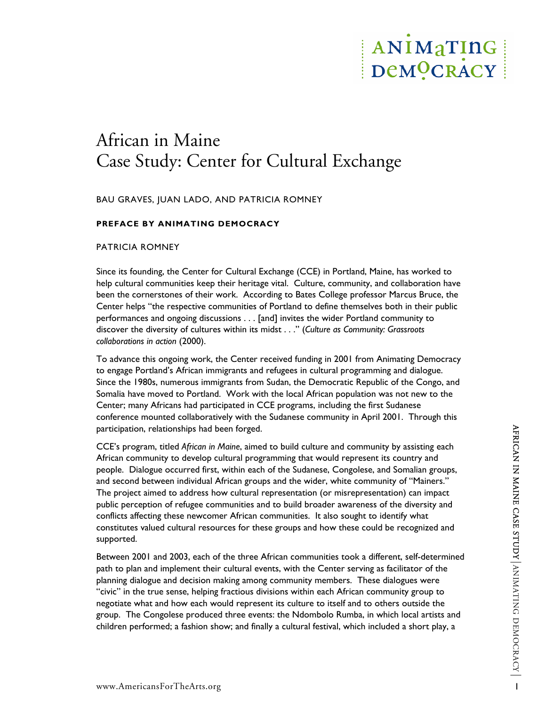# ANIMaTING DeMOCRACY

## African in Maine Case Study: Center for Cultural Exchange

BAU GRAVES, JUAN LADO, AND PATRICIA ROMNEY

#### **PREFACE BY ANIMATING DEMOCRACY**

#### PATRICIA ROMNEY

Since its founding, the Center for Cultural Exchange (CCE) in Portland, Maine, has worked to help cultural communities keep their heritage vital. Culture, community, and collaboration have been the cornerstones of their work. According to Bates College professor Marcus Bruce, the Center helps "the respective communities of Portland to define themselves both in their public performances and ongoing discussions . . . [and] invites the wider Portland community to discover the diversity of cultures within its midst . . ." (*Culture as Community: Grassroots collaborations in action* (2000).

To advance this ongoing work, the Center received funding in 2001 from Animating Democracy to engage Portland's African immigrants and refugees in cultural programming and dialogue. Since the 1980s, numerous immigrants from Sudan, the Democratic Republic of the Congo, and Somalia have moved to Portland. Work with the local African population was not new to the Center; many Africans had participated in CCE programs, including the first Sudanese conference mounted collaboratively with the Sudanese community in April 2001. Through this participation, relationships had been forged.

participation, relationships had been forged.<br>
CCE's program, titled African in Maine, aimed to build culture and community by assisting each<br>
African community to develop cultural programming that would represent its coun CCE's program, titled *African in Maine*, aimed to build culture and community by assisting each African community to develop cultural programming that would represent its country and people. Dialogue occurred first, within each of the Sudanese, Congolese, and Somalian groups, and second between individual African groups and the wider, white community of "Mainers." The project aimed to address how cultural representation (or misrepresentation) can impact public perception of refugee communities and to build broader awareness of the diversity and conflicts affecting these newcomer African communities. It also sought to identify what constitutes valued cultural resources for these groups and how these could be recognized and supported.

Between 2001 and 2003, each of the three African communities took a different, self-determined path to plan and implement their cultural events, with the Center serving as facilitator of the planning dialogue and decision making among community members. These dialogues were "civic" in the true sense, helping fractious divisions within each African community group to negotiate what and how each would represent its culture to itself and to others outside the group. The Congolese produced three events: the Ndombolo Rumba, in which local artists and children performed; a fashion show; and finally a cultural festival, which included a short play, a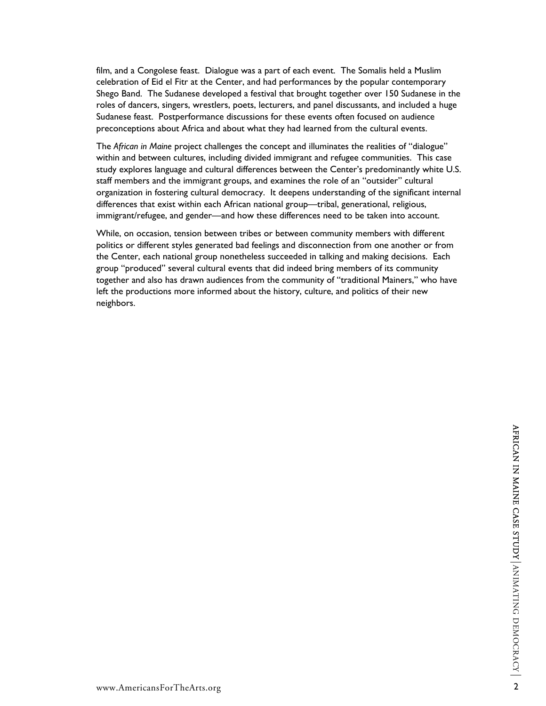film, and a Congolese feast. Dialogue was a part of each event. The Somalis held a Muslim celebration of Eid el Fitr at the Center, and had performances by the popular contemporary Shego Band. The Sudanese developed a festival that brought together over 150 Sudanese in the roles of dancers, singers, wrestlers, poets, lecturers, and panel discussants, and included a huge Sudanese feast. Postperformance discussions for these events often focused on audience preconceptions about Africa and about what they had learned from the cultural events.

The *African in Maine* project challenges the concept and illuminates the realities of "dialogue" within and between cultures, including divided immigrant and refugee communities. This case study explores language and cultural differences between the Center's predominantly white U.S. staff members and the immigrant groups, and examines the role of an "outsider" cultural organization in fostering cultural democracy. It deepens understanding of the significant internal differences that exist within each African national group—tribal, generational, religious, immigrant/refugee, and gender—and how these differences need to be taken into account.

While, on occasion, tension between tribes or between community members with different politics or different styles generated bad feelings and disconnection from one another or from the Center, each national group nonetheless succeeded in talking and making decisions. Each group "produced" several cultural events that did indeed bring members of its community together and also has drawn audiences from the community of "traditional Mainers," who have left the productions more informed about the history, culture, and politics of their new neighbors.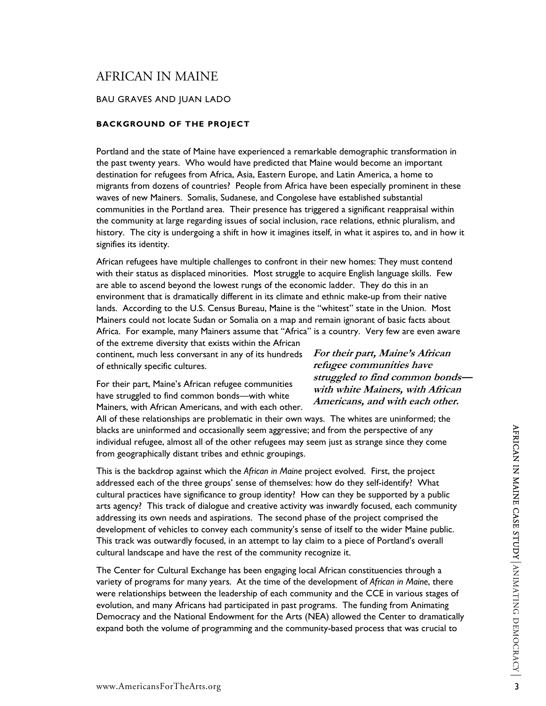### AFRICAN IN MAINE

#### BAU GRAVES AND JUAN LADO

#### **BACKGROUND OF THE PROJECT**

Portland and the state of Maine have experienced a remarkable demographic transformation in the past twenty years. Who would have predicted that Maine would become an important destination for refugees from Africa, Asia, Eastern Europe, and Latin America, a home to migrants from dozens of countries? People from Africa have been especially prominent in these waves of new Mainers. Somalis, Sudanese, and Congolese have established substantial communities in the Portland area. Their presence has triggered a significant reappraisal within the community at large regarding issues of social inclusion, race relations, ethnic pluralism, and history. The city is undergoing a shift in how it imagines itself, in what it aspires to, and in how it signifies its identity.

African refugees have multiple challenges to confront in their new homes: They must contend with their status as displaced minorities. Most struggle to acquire English language skills. Few are able to ascend beyond the lowest rungs of the economic ladder. They do this in an environment that is dramatically different in its climate and ethnic make-up from their native lands. According to the U.S. Census Bureau, Maine is the "whitest" state in the Union. Most Mainers could not locate Sudan or Somalia on a map and remain ignorant of basic facts about Africa. For example, many Mainers assume that "Africa" is a country. Very few are even aware

> **For their part, Maine's African refugee communities have**

**struggled to find common bonds with white Mainers, with African Americans, and with each other.** 

of the extreme diversity that exists within the African continent, much less conversant in any of its hundreds of ethnically specific cultures.

For their part, Maine's African refugee communities have struggled to find common bonds—with white Mainers, with African Americans, and with each other.

All of these relationships are problematic in their own ways. The whites are uninformed; the blacks are uninformed and occasionally seem aggressive; and from the perspective of any individual refugee, almost all of the other refugees may seem just as strange since they come from geographically distant tribes and ethnic groupings.

blacks are uninformed and occasionally seem aggressive; and from the perspective of any<br>
inform geographically distant tribes and ethnic groupings.<br>
This is the backdrop against which the African in Maine project evolved. This is the backdrop against which the *African in Maine* project evolved. First, the project addressed each of the three groups' sense of themselves: how do they self-identify? What cultural practices have significance to group identity? How can they be supported by a public arts agency? This track of dialogue and creative activity was inwardly focused, each community addressing its own needs and aspirations. The second phase of the project comprised the development of vehicles to convey each community's sense of itself to the wider Maine public. This track was outwardly focused, in an attempt to lay claim to a piece of Portland's overall cultural landscape and have the rest of the community recognize it.

The Center for Cultural Exchange has been engaging local African constituencies through a variety of programs for many years. At the time of the development of *African in Maine*, there were relationships between the leadership of each community and the CCE in various stages of evolution, and many Africans had participated in past programs. The funding from Animating Democracy and the National Endowment for the Arts (NEA) allowed the Center to dramatically expand both the volume of programming and the community-based process that was crucial to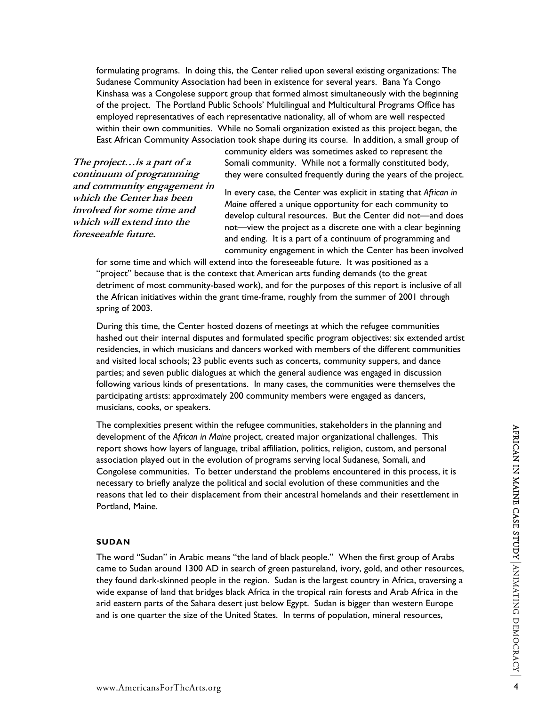formulating programs. In doing this, the Center relied upon several existing organizations: The Sudanese Community Association had been in existence for several years. Bana Ya Congo Kinshasa was a Congolese support group that formed almost simultaneously with the beginning of the project. The Portland Public Schools' Multilingual and Multicultural Programs Office has employed representatives of each representative nationality, all of whom are well respected within their own communities. While no Somali organization existed as this project began, the East African Community Association took shape during its course. In addition, a small group of

**The project…is a part of a continuum of programming and community engagement in which the Center has been involved for some time and which will extend into the foreseeable future.** 

community elders was sometimes asked to represent the Somali community. While not a formally constituted body, they were consulted frequently during the years of the project.

In every case, the Center was explicit in stating that *African in Maine* offered a unique opportunity for each community to develop cultural resources. But the Center did not—and does not—view the project as a discrete one with a clear beginning and ending. It is a part of a continuum of programming and community engagement in which the Center has been involved

for some time and which will extend into the foreseeable future. It was positioned as a "project" because that is the context that American arts funding demands (to the great detriment of most community-based work), and for the purposes of this report is inclusive of all the African initiatives within the grant time-frame, roughly from the summer of 2001 through spring of 2003.

During this time, the Center hosted dozens of meetings at which the refugee communities hashed out their internal disputes and formulated specific program objectives: six extended artist residencies, in which musicians and dancers worked with members of the different communities and visited local schools; 23 public events such as concerts, community suppers, and dance parties; and seven public dialogues at which the general audience was engaged in discussion following various kinds of presentations. In many cases, the communities were themselves the participating artists: approximately 200 community members were engaged as dancers, musicians, cooks, or speakers.

The compensive present within the relage communities, statenouges an ine painting and<br>edevelopment of the African in Maine project, created major organizational challenges. This<br>report shows how layers of language, tribal The complexities present within the refugee communities, stakeholders in the planning and development of the *African in Maine* project, created major organizational challenges. This report shows how layers of language, tribal affiliation, politics, religion, custom, and personal association played out in the evolution of programs serving local Sudanese, Somali, and Congolese communities. To better understand the problems encountered in this process, it is necessary to briefly analyze the political and social evolution of these communities and the reasons that led to their displacement from their ancestral homelands and their resettlement in Portland, Maine.

#### **SUDAN**

The word "Sudan" in Arabic means "the land of black people." When the first group of Arabs came to Sudan around 1300 AD in search of green pastureland, ivory, gold, and other resources, they found dark-skinned people in the region. Sudan is the largest country in Africa, traversing a wide expanse of land that bridges black Africa in the tropical rain forests and Arab Africa in the arid eastern parts of the Sahara desert just below Egypt. Sudan is bigger than western Europe and is one quarter the size of the United States. In terms of population, mineral resources,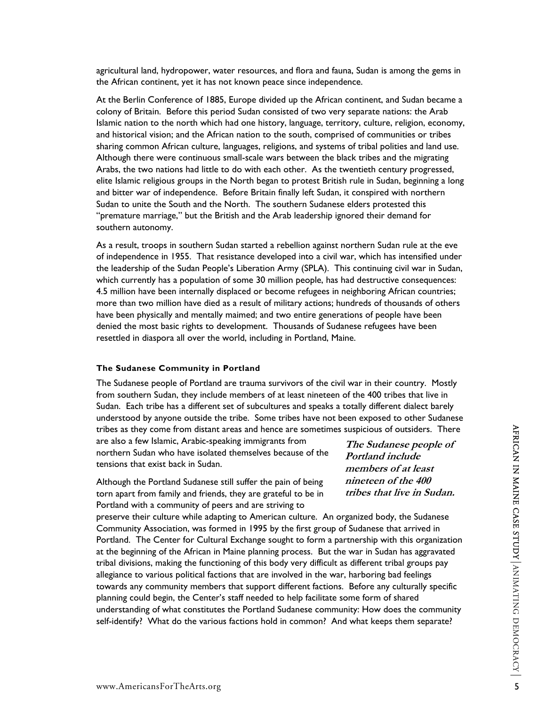agricultural land, hydropower, water resources, and flora and fauna, Sudan is among the gems in the African continent, yet it has not known peace since independence.

At the Berlin Conference of 1885, Europe divided up the African continent, and Sudan became a colony of Britain. Before this period Sudan consisted of two very separate nations: the Arab Islamic nation to the north which had one history, language, territory, culture, religion, economy, and historical vision; and the African nation to the south, comprised of communities or tribes sharing common African culture, languages, religions, and systems of tribal polities and land use. Although there were continuous small-scale wars between the black tribes and the migrating Arabs, the two nations had little to do with each other. As the twentieth century progressed, elite Islamic religious groups in the North began to protest British rule in Sudan, beginning a long and bitter war of independence. Before Britain finally left Sudan, it conspired with northern Sudan to unite the South and the North. The southern Sudanese elders protested this "premature marriage," but the British and the Arab leadership ignored their demand for southern autonomy.

As a result, troops in southern Sudan started a rebellion against northern Sudan rule at the eve of independence in 1955. That resistance developed into a civil war, which has intensified under the leadership of the Sudan People's Liberation Army (SPLA). This continuing civil war in Sudan, which currently has a population of some 30 million people, has had destructive consequences: 4.5 million have been internally displaced or become refugees in neighboring African countries; more than two million have died as a result of military actions; hundreds of thousands of others have been physically and mentally maimed; and two entire generations of people have been denied the most basic rights to development. Thousands of Sudanese refugees have been resettled in diaspora all over the world, including in Portland, Maine.

#### **The Sudanese Community in Portland**

The Sudanese people of Portland are trauma survivors of the civil war in their country. Mostly from southern Sudan, they include members of at least nineteen of the 400 tribes that live in Sudan. Each tribe has a different set of subcultures and speaks a totally different dialect barely understood by anyone outside the tribe. Some tribes have not been exposed to other Sudanese tribes as they come from distant areas and hence are sometimes suspicious of outsiders. There

are also a few Islamic, Arabic-speaking immigrants from northern Sudan who have isolated themselves because of the tensions that exist back in Sudan.

Although the Portland Sudanese still suffer the pain of being torn apart from family and friends, they are grateful to be in Portland with a community of peers and are striving to

tribes as they come from distant areas and hence are sometimes suspicious of outsiders. There<br>are also a few Islamic, Arabic-speaking immigrants from<br>northern Sudan who have isolated themselves because of the *Burland inc* preserve their culture while adapting to American culture. An organized body, the Sudanese Community Association, was formed in 1995 by the first group of Sudanese that arrived in Portland. The Center for Cultural Exchange sought to form a partnership with this organization at the beginning of the African in Maine planning process. But the war in Sudan has aggravated tribal divisions, making the functioning of this body very difficult as different tribal groups pay allegiance to various political factions that are involved in the war, harboring bad feelings towards any community members that support different factions. Before any culturally specific planning could begin, the Center's staff needed to help facilitate some form of shared understanding of what constitutes the Portland Sudanese community: How does the community self-identify? What do the various factions hold in common? And what keeps them separate?

**The Sudanese people of Portland include members of at least nineteen of the 400 tribes that live in Sudan.**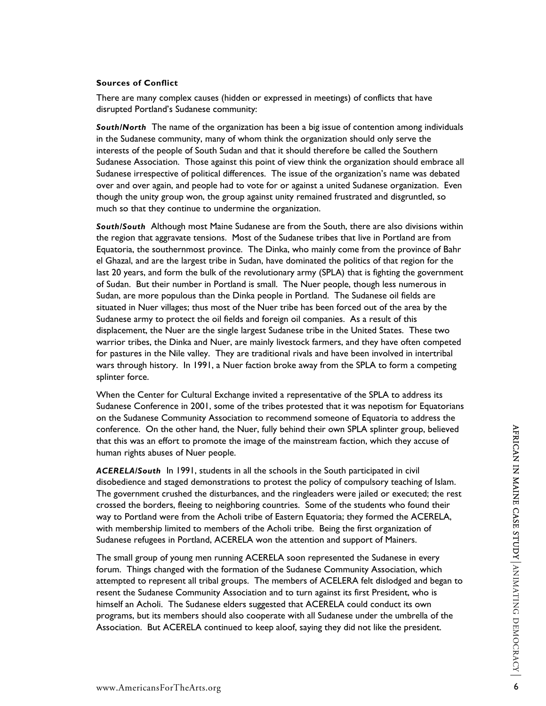#### **Sources of Conflict**

There are many complex causes (hidden or expressed in meetings) of conflicts that have disrupted Portland's Sudanese community:

*South/North* The name of the organization has been a big issue of contention among individuals in the Sudanese community, many of whom think the organization should only serve the interests of the people of South Sudan and that it should therefore be called the Southern Sudanese Association. Those against this point of view think the organization should embrace all Sudanese irrespective of political differences. The issue of the organization's name was debated over and over again, and people had to vote for or against a united Sudanese organization. Even though the unity group won, the group against unity remained frustrated and disgruntled, so much so that they continue to undermine the organization.

*South/South*Although most Maine Sudanese are from the South, there are also divisions within the region that aggravate tensions. Most of the Sudanese tribes that live in Portland are from Equatoria, the southernmost province. The Dinka, who mainly come from the province of Bahr el Ghazal, and are the largest tribe in Sudan, have dominated the politics of that region for the last 20 years, and form the bulk of the revolutionary army (SPLA) that is fighting the government of Sudan. But their number in Portland is small. The Nuer people, though less numerous in Sudan, are more populous than the Dinka people in Portland. The Sudanese oil fields are situated in Nuer villages; thus most of the Nuer tribe has been forced out of the area by the Sudanese army to protect the oil fields and foreign oil companies. As a result of this displacement, the Nuer are the single largest Sudanese tribe in the United States. These two warrior tribes, the Dinka and Nuer, are mainly livestock farmers, and they have often competed for pastures in the Nile valley. They are traditional rivals and have been involved in intertribal wars through history. In 1991, a Nuer faction broke away from the SPLA to form a competing splinter force.

When the Center for Cultural Exchange invited a representative of the SPLA to address its Sudanese Conference in 2001, some of the tribes protested that it was nepotism for Equatorians on the Sudanese Community Association to recommend someone of Equatoria to address the conference. On the other hand, the Nuer, fully behind their own SPLA splinter group, believed that this was an effort to promote the image of the mainstream faction, which they accuse of human rights abuses of Nuer people.

*ACERELA/South*In 1991, students in all the schools in the South participated in civil disobedience and staged demonstrations to protest the policy of compulsory teaching of Islam. The government crushed the disturbances, and the ringleaders were jailed or executed; the rest crossed the borders, fleeing to neighboring countries. Some of the students who found their way to Portland were from the Acholi tribe of Eastern Equatoria; they formed the ACERELA, with membership limited to members of the Acholi tribe. Being the first organization of Sudanese refugees in Portland, ACERELA won the attention and support of Mainers.

conference. On the other hand, the Nuer, fully behind their own SPLA splinter group, believed<br>thuman rights was an effort to promote the image of the mainstream faction, which they accuse of<br>human rights abuses of Nuer peo The small group of young men running ACERELA soon represented the Sudanese in every forum. Things changed with the formation of the Sudanese Community Association, which attempted to represent all tribal groups. The members of ACELERA felt dislodged and began to resent the Sudanese Community Association and to turn against its first President, who is himself an Acholi. The Sudanese elders suggested that ACERELA could conduct its own programs, but its members should also cooperate with all Sudanese under the umbrella of the Association. But ACERELA continued to keep aloof, saying they did not like the president.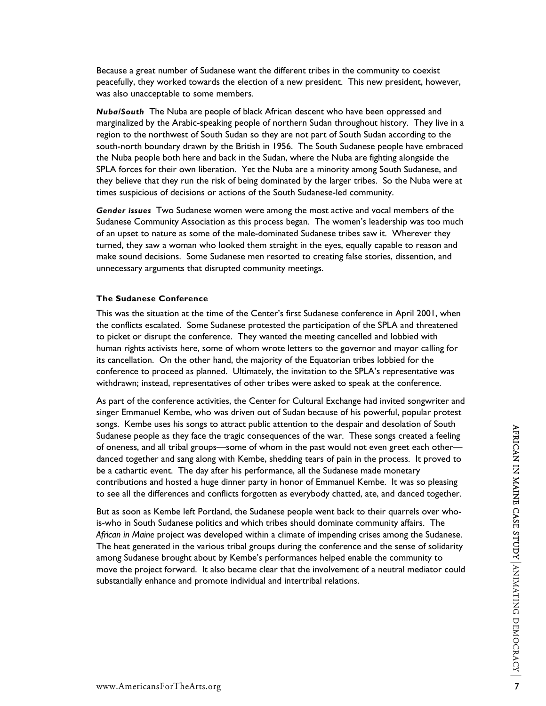Because a great number of Sudanese want the different tribes in the community to coexist peacefully, they worked towards the election of a new president. This new president, however, was also unacceptable to some members.

*Nuba/South* The Nuba are people of black African descent who have been oppressed and marginalized by the Arabic-speaking people of northern Sudan throughout history. They live in a region to the northwest of South Sudan so they are not part of South Sudan according to the south-north boundary drawn by the British in 1956. The South Sudanese people have embraced the Nuba people both here and back in the Sudan, where the Nuba are fighting alongside the SPLA forces for their own liberation. Yet the Nuba are a minority among South Sudanese, and they believe that they run the risk of being dominated by the larger tribes. So the Nuba were at times suspicious of decisions or actions of the South Sudanese-led community.

*Gender issues* Two Sudanese women were among the most active and vocal members of the Sudanese Community Association as this process began. The women's leadership was too much of an upset to nature as some of the male-dominated Sudanese tribes saw it. Wherever they turned, they saw a woman who looked them straight in the eyes, equally capable to reason and make sound decisions. Some Sudanese men resorted to creating false stories, dissention, and unnecessary arguments that disrupted community meetings.

#### **The Sudanese Conference**

This was the situation at the time of the Center's first Sudanese conference in April 2001, when the conflicts escalated. Some Sudanese protested the participation of the SPLA and threatened to picket or disrupt the conference. They wanted the meeting cancelled and lobbied with human rights activists here, some of whom wrote letters to the governor and mayor calling for its cancellation. On the other hand, the majority of the Equatorian tribes lobbied for the conference to proceed as planned. Ultimately, the invitation to the SPLA's representative was withdrawn; instead, representatives of other tribes were asked to speak at the conference.

As part of the conference activities, the Center for Cultural Exchange had invited songwriter and singer Emmanuel Kembe, who was driven out of Sudan because of his powerful, popular protest songs. Kembe uses his songs to attract public attention to the despair and desolation of South Sudanese people as they face the tragic consequences of the war. These songs created a feeling of oneness, and all tribal groups—some of whom in the past would not even greet each other danced together and sang along with Kembe, shedding tears of pain in the process. It proved to be a cathartic event. The day after his performance, all the Sudanese made monetary contributions and hosted a huge dinner party in honor of Emmanuel Kembe. It was so pleasing to see all the differences and conflicts forgotten as everybody chatted, ate, and danced together.

Sudances people as they are uncar punic accessom of the war. These songs created a feeling<br>Sudances people as they face the tragic consequences of the war. These songs created a feeling<br>of oneness, and all tribal groups—so But as soon as Kembe left Portland, the Sudanese people went back to their quarrels over whois-who in South Sudanese politics and which tribes should dominate community affairs. The *African in Maine* project was developed within a climate of impending crises among the Sudanese. The heat generated in the various tribal groups during the conference and the sense of solidarity among Sudanese brought about by Kembe's performances helped enable the community to move the project forward. It also became clear that the involvement of a neutral mediator could substantially enhance and promote individual and intertribal relations.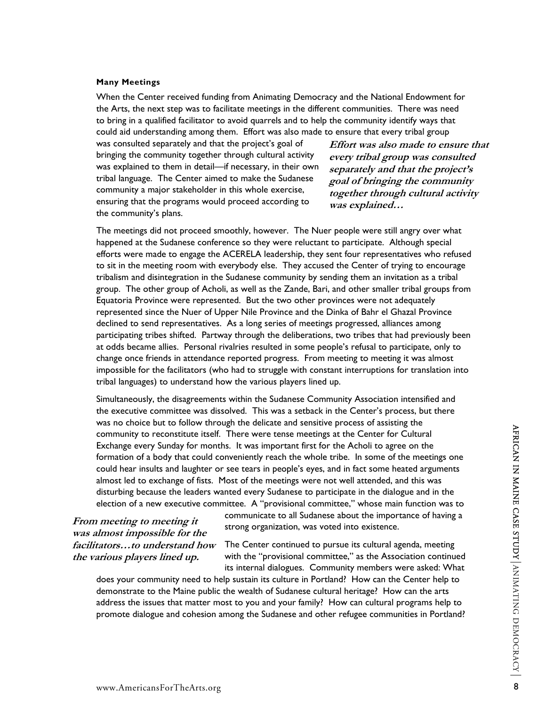#### **Many Meetings**

When the Center received funding from Animating Democracy and the National Endowment for the Arts, the next step was to facilitate meetings in the different communities. There was need to bring in a qualified facilitator to avoid quarrels and to help the community identify ways that could aid understanding among them. Effort was also made to ensure that every tribal group

was consulted separately and that the project's goal of bringing the community together through cultural activity was explained to them in detail—if necessary, in their own tribal language. The Center aimed to make the Sudanese community a major stakeholder in this whole exercise, ensuring that the programs would proceed according to the community's plans.

**Effort was also made to ensure that every tribal group was consulted separately and that the project's goal of bringing the community together through cultural activity was explained…** 

The meetings did not proceed smoothly, however. The Nuer people were still angry over what happened at the Sudanese conference so they were reluctant to participate. Although special efforts were made to engage the ACERELA leadership, they sent four representatives who refused to sit in the meeting room with everybody else. They accused the Center of trying to encourage tribalism and disintegration in the Sudanese community by sending them an invitation as a tribal group. The other group of Acholi, as well as the Zande, Bari, and other smaller tribal groups from Equatoria Province were represented. But the two other provinces were not adequately represented since the Nuer of Upper Nile Province and the Dinka of Bahr el Ghazal Province declined to send representatives. As a long series of meetings progressed, alliances among participating tribes shifted. Partway through the deliberations, two tribes that had previously been at odds became allies. Personal rivalries resulted in some people's refusal to participate, only to change once friends in attendance reported progress. From meeting to meeting it was almost impossible for the facilitators (who had to struggle with constant interruptions for translation into tribal languages) to understand how the various players lined up.

when the same of the same of the same of the same of the center for Cultural<br>
Exchange every Sunday for months. It was important first for the Acholi to agree on the<br>
formation of a body that could conveniently reach the Simultaneously, the disagreements within the Sudanese Community Association intensified and the executive committee was dissolved. This was a setback in the Center's process, but there was no choice but to follow through the delicate and sensitive process of assisting the community to reconstitute itself. There were tense meetings at the Center for Cultural Exchange every Sunday for months. It was important first for the Acholi to agree on the formation of a body that could conveniently reach the whole tribe. In some of the meetings one could hear insults and laughter or see tears in people's eyes, and in fact some heated arguments almost led to exchange of fists. Most of the meetings were not well attended, and this was disturbing because the leaders wanted every Sudanese to participate in the dialogue and in the election of a new executive committee. A "provisional committee," whose main function was to

**From meeting to meeting it was almost impossible for the facilitators…to understand how the various players lined up.** 

communicate to all Sudanese about the importance of having a strong organization, was voted into existence.

The Center continued to pursue its cultural agenda, meeting with the "provisional committee," as the Association continued its internal dialogues. Community members were asked: What

does your community need to help sustain its culture in Portland? How can the Center help to demonstrate to the Maine public the wealth of Sudanese cultural heritage? How can the arts address the issues that matter most to you and your family? How can cultural programs help to promote dialogue and cohesion among the Sudanese and other refugee communities in Portland?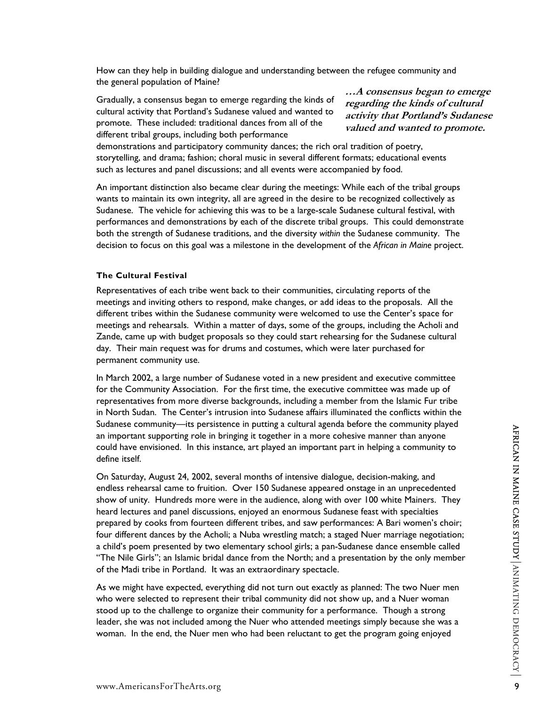How can they help in building dialogue and understanding between the refugee community and the general population of Maine?

Gradually, a consensus began to emerge regarding the kinds of cultural activity that Portland's Sudanese valued and wanted to promote. These included: traditional dances from all of the different tribal groups, including both performance

**…A consensus began to emerge regarding the kinds of cultural activity that Portland's Sudanese valued and wanted to promote.**

demonstrations and participatory community dances; the rich oral tradition of poetry, storytelling, and drama; fashion; choral music in several different formats; educational events such as lectures and panel discussions; and all events were accompanied by food.

An important distinction also became clear during the meetings: While each of the tribal groups wants to maintain its own integrity, all are agreed in the desire to be recognized collectively as Sudanese. The vehicle for achieving this was to be a large-scale Sudanese cultural festival, with performances and demonstrations by each of the discrete tribal groups. This could demonstrate both the strength of Sudanese traditions, and the diversity *within* the Sudanese community. The decision to focus on this goal was a milestone in the development of the *African in Maine* project.

#### **The Cultural Festival**

Representatives of each tribe went back to their communities, circulating reports of the meetings and inviting others to respond, make changes, or add ideas to the proposals. All the different tribes within the Sudanese community were welcomed to use the Center's space for meetings and rehearsals. Within a matter of days, some of the groups, including the Acholi and Zande, came up with budget proposals so they could start rehearsing for the Sudanese cultural day. Their main request was for drums and costumes, which were later purchased for permanent community use.

In March 2002, a large number of Sudanese voted in a new president and executive committee for the Community Association. For the first time, the executive committee was made up of representatives from more diverse backgrounds, including a member from the Islamic Fur tribe in North Sudan. The Center's intrusion into Sudanese affairs illuminated the conflicts within the Sudanese community—its persistence in putting a cultural agenda before the community played an important supporting role in bringing it together in a more cohesive manner than anyone could have envisioned. In this instance, art played an important part in helping a community to define itself.

busines community—ins persistence in pluting a curricular argenda detive the cluminality played<br>an important supporting role in bringing it together in a more cohesive manner than anyone<br>could have envisioned. In this ins On Saturday, August 24, 2002, several months of intensive dialogue, decision-making, and endless rehearsal came to fruition. Over 150 Sudanese appeared onstage in an unprecedented show of unity. Hundreds more were in the audience, along with over 100 white Mainers. They heard lectures and panel discussions, enjoyed an enormous Sudanese feast with specialties prepared by cooks from fourteen different tribes, and saw performances: A Bari women's choir; four different dances by the Acholi; a Nuba wrestling match; a staged Nuer marriage negotiation; a child's poem presented by two elementary school girls; a pan-Sudanese dance ensemble called "The Nile Girls"; an Islamic bridal dance from the North; and a presentation by the only member of the Madi tribe in Portland. It was an extraordinary spectacle.

As we might have expected, everything did not turn out exactly as planned: The two Nuer men who were selected to represent their tribal community did not show up, and a Nuer woman stood up to the challenge to organize their community for a performance. Though a strong leader, she was not included among the Nuer who attended meetings simply because she was a woman. In the end, the Nuer men who had been reluctant to get the program going enjoyed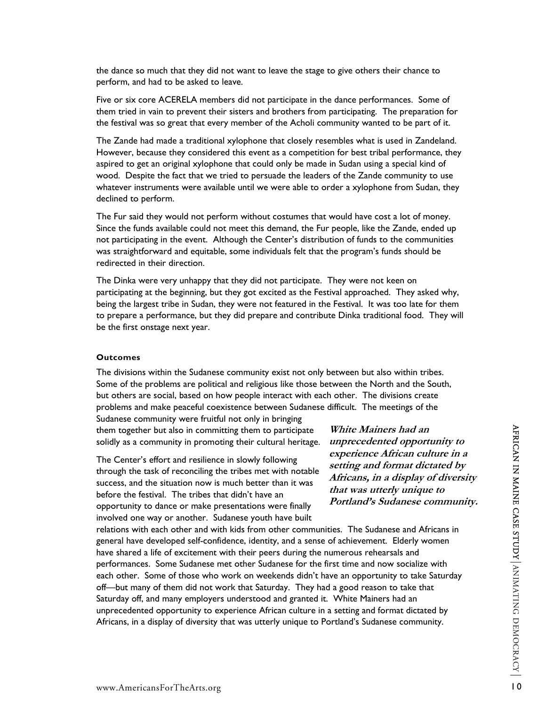the dance so much that they did not want to leave the stage to give others their chance to perform, and had to be asked to leave.

Five or six core ACERELA members did not participate in the dance performances. Some of them tried in vain to prevent their sisters and brothers from participating. The preparation for the festival was so great that every member of the Acholi community wanted to be part of it.

The Zande had made a traditional xylophone that closely resembles what is used in Zandeland. However, because they considered this event as a competition for best tribal performance, they aspired to get an original xylophone that could only be made in Sudan using a special kind of wood. Despite the fact that we tried to persuade the leaders of the Zande community to use whatever instruments were available until we were able to order a xylophone from Sudan, they declined to perform.

The Fur said they would not perform without costumes that would have cost a lot of money. Since the funds available could not meet this demand, the Fur people, like the Zande, ended up not participating in the event. Although the Center's distribution of funds to the communities was straightforward and equitable, some individuals felt that the program's funds should be redirected in their direction.

The Dinka were very unhappy that they did not participate. They were not keen on participating at the beginning, but they got excited as the Festival approached. They asked why, being the largest tribe in Sudan, they were not featured in the Festival. It was too late for them to prepare a performance, but they did prepare and contribute Dinka traditional food. They will be the first onstage next year.

#### **Outcomes**

The divisions within the Sudanese community exist not only between but also within tribes. Some of the problems are political and religious like those between the North and the South, but others are social, based on how people interact with each other. The divisions create problems and make peaceful coexistence between Sudanese difficult. The meetings of the

Sudanese community were fruitful not only in bringing them together but also in committing them to participate solidly as a community in promoting their cultural heritage.

The Center's effort and resilience in slowly following through the task of reconciling the tribes met with notable success, and the situation now is much better than it was before the festival. The tribes that didn't have an opportunity to dance or make presentations were finally involved one way or another. Sudanese youth have built

**White Mainers had an unprecedented opportunity to experience African culture in a setting and format dictated by Africans, in a display of diversity that was utterly unique to Portland's Sudanese community.**

them together but also in committing them to participate White Mainers had an<br>
solidly as a community in promoting their cultural heritage. unreccedented opportunity to<br>
The Center's effort and resilience in slowly follow relations with each other and with kids from other communities. The Sudanese and Africans in general have developed self-confidence, identity, and a sense of achievement. Elderly women have shared a life of excitement with their peers during the numerous rehearsals and performances. Some Sudanese met other Sudanese for the first time and now socialize with each other. Some of those who work on weekends didn't have an opportunity to take Saturday off—but many of them did not work that Saturday. They had a good reason to take that Saturday off, and many employers understood and granted it. White Mainers had an unprecedented opportunity to experience African culture in a setting and format dictated by Africans, in a display of diversity that was utterly unique to Portland's Sudanese community.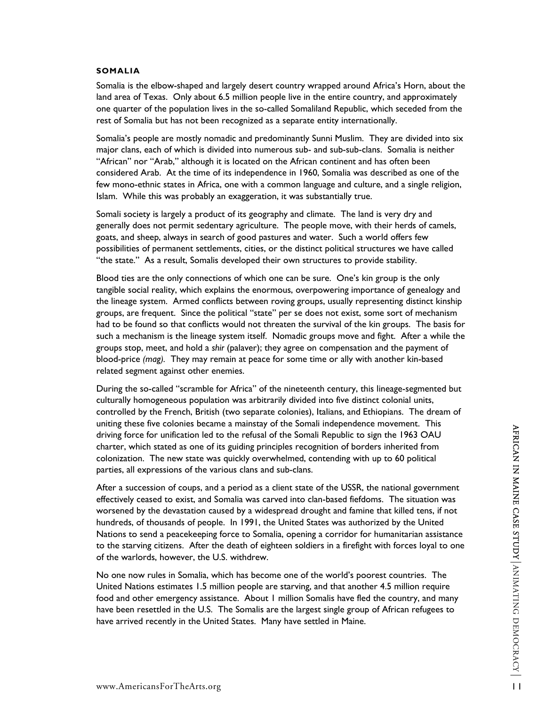#### **SOMALIA**

Somalia is the elbow-shaped and largely desert country wrapped around Africa's Horn, about the land area of Texas. Only about 6.5 million people live in the entire country, and approximately one quarter of the population lives in the so-called Somaliland Republic, which seceded from the rest of Somalia but has not been recognized as a separate entity internationally.

Somalia's people are mostly nomadic and predominantly Sunni Muslim. They are divided into six major clans, each of which is divided into numerous sub- and sub-sub-clans. Somalia is neither "African" nor "Arab," although it is located on the African continent and has often been considered Arab. At the time of its independence in 1960, Somalia was described as one of the few mono-ethnic states in Africa, one with a common language and culture, and a single religion, Islam. While this was probably an exaggeration, it was substantially true.

Somali society is largely a product of its geography and climate. The land is very dry and generally does not permit sedentary agriculture. The people move, with their herds of camels, goats, and sheep, always in search of good pastures and water. Such a world offers few possibilities of permanent settlements, cities, or the distinct political structures we have called "the state." As a result, Somalis developed their own structures to provide stability.

Blood ties are the only connections of which one can be sure. One's kin group is the only tangible social reality, which explains the enormous, overpowering importance of genealogy and the lineage system. Armed conflicts between roving groups, usually representing distinct kinship groups, are frequent. Since the political "state" per se does not exist, some sort of mechanism had to be found so that conflicts would not threaten the survival of the kin groups. The basis for such a mechanism is the lineage system itself. Nomadic groups move and fight. After a while the groups stop, meet, and hold a *shir* (palaver); they agree on compensation and the payment of blood-price *(mag).* They may remain at peace for some time or ally with another kin-based related segment against other enemies.

During the so-called "scramble for Africa" of the nineteenth century, this lineage-segmented but culturally homogeneous population was arbitrarily divided into five distinct colonial units, controlled by the French, British (two separate colonies), Italians, and Ethiopians. The dream of uniting these five colonies became a mainstay of the Somali independence movement. This driving force for unification led to the refusal of the Somali Republic to sign the 1963 OAU charter, which stated as one of its guiding principles recognition of borders inherited from colonization. The new state was quickly overwhelmed, contending with up to 60 political parties, all expressions of the various clans and sub-clans.

where resource secures exercises and a principal of the Somali Republic to sign the 1963 OAU<br>charter, which stated as one of its guiding principles recognition of borders inherited from<br>condization. The new state was quick After a succession of coups, and a period as a client state of the USSR, the national government effectively ceased to exist, and Somalia was carved into clan-based fiefdoms. The situation was worsened by the devastation caused by a widespread drought and famine that killed tens, if not hundreds, of thousands of people. In 1991, the United States was authorized by the United Nations to send a peacekeeping force to Somalia, opening a corridor for humanitarian assistance to the starving citizens. After the death of eighteen soldiers in a firefight with forces loyal to one of the warlords, however, the U.S. withdrew.

No one now rules in Somalia, which has become one of the world's poorest countries. The United Nations estimates 1.5 million people are starving, and that another 4.5 million require food and other emergency assistance. About 1 million Somalis have fled the country, and many have been resettled in the U.S. The Somalis are the largest single group of African refugees to have arrived recently in the United States. Many have settled in Maine.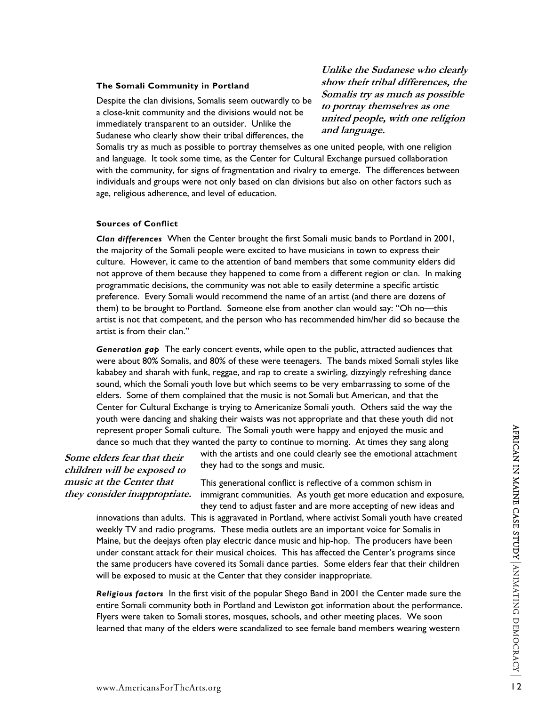#### **The Somali Community in Portland**

Despite the clan divisions, Somalis seem outwardly to be a close-knit community and the divisions would not be immediately transparent to an outsider. Unlike the Sudanese who clearly show their tribal differences, the

**Unlike the Sudanese who clearly show their tribal differences, the Somalis try as much as possible to portray themselves as one united people, with one religion and language.** 

Somalis try as much as possible to portray themselves as one united people, with one religion and language. It took some time, as the Center for Cultural Exchange pursued collaboration with the community, for signs of fragmentation and rivalry to emerge. The differences between individuals and groups were not only based on clan divisions but also on other factors such as age, religious adherence, and level of education.

#### **Sources of Conflict**

*Clan differences* When the Center brought the first Somali music bands to Portland in 2001, the majority of the Somali people were excited to have musicians in town to express their culture. However, it came to the attention of band members that some community elders did not approve of them because they happened to come from a different region or clan. In making programmatic decisions, the community was not able to easily determine a specific artistic preference. Every Somali would recommend the name of an artist (and there are dozens of them) to be brought to Portland. Someone else from another clan would say: "Oh no—this artist is not that competent, and the person who has recommended him/her did so because the artist is from their clan."

*Generation gap* The early concert events, while open to the public, attracted audiences that were about 80% Somalis, and 80% of these were teenagers. The bands mixed Somali styles like kababey and sharah with funk, reggae, and rap to create a swirling, dizzyingly refreshing dance sound, which the Somali youth love but which seems to be very embarrassing to some of the elders. Some of them complained that the music is not Somali but American, and that the Center for Cultural Exchange is trying to Americanize Somali youth. Others said the way the youth were dancing and shaking their waists was not appropriate and that these youth did not represent proper Somali culture. The Somali youth were happy and enjoyed the music and dance so much that they wanted the party to continue to morning. At times they sang along

**Some elders fear that their children will be exposed to music at the Center that they consider inappropriate.** 

with the artists and one could clearly see the emotional attachment they had to the songs and music.

This generational conflict is reflective of a common schism in immigrant communities. As youth get more education and exposure, they tend to adjust faster and are more accepting of new ideas and

represent proper Somali culture. The Somali youth were happy and enjoyed the music and<br>dates for muth that they wanted the party to continue to morning. At times they sang along<br>*n will be exposed to*<br>they had to the songs innovations than adults. This is aggravated in Portland, where activist Somali youth have created weekly TV and radio programs. These media outlets are an important voice for Somalis in Maine, but the deejays often play electric dance music and hip-hop. The producers have been under constant attack for their musical choices. This has affected the Center's programs since the same producers have covered its Somali dance parties. Some elders fear that their children will be exposed to music at the Center that they consider inappropriate.

*Religious factors* In the first visit of the popular Shego Band in 2001 the Center made sure the entire Somali community both in Portland and Lewiston got information about the performance. Flyers were taken to Somali stores, mosques, schools, and other meeting places. We soon learned that many of the elders were scandalized to see female band members wearing western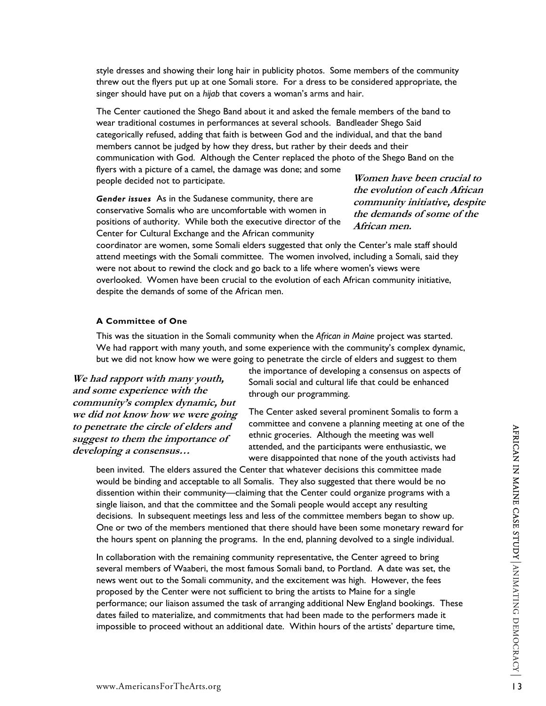style dresses and showing their long hair in publicity photos. Some members of the community threw out the flyers put up at one Somali store. For a dress to be considered appropriate, the singer should have put on a *hijab* that covers a woman's arms and hair.

The Center cautioned the Shego Band about it and asked the female members of the band to wear traditional costumes in performances at several schools. Bandleader Shego Said categorically refused, adding that faith is between God and the individual, and that the band members cannot be judged by how they dress, but rather by their deeds and their communication with God. Although the Center replaced the photo of the Shego Band on the flyers with a picture of a camel, the damage was done; and some people decided not to participate.

*Gender issues* As in the Sudanese community, there are conservative Somalis who are uncomfortable with women in positions of authority. While both the executive director of the Center for Cultural Exchange and the African community

**Women have been crucial to the evolution of each African community initiative, despite the demands of some of the African men.** 

coordinator are women, some Somali elders suggested that only the Center's male staff should attend meetings with the Somali committee. The women involved, including a Somali, said they were not about to rewind the clock and go back to a life where women's views were overlooked. Women have been crucial to the evolution of each African community initiative, despite the demands of some of the African men.

#### **A Committee of One**

This was the situation in the Somali community when the *African in Maine* project was started. We had rapport with many youth, and some experience with the community's complex dynamic, but we did not know how we were going to penetrate the circle of elders and suggest to them

**We had rapport with many youth, and some experience with the community's complex dynamic, but we did not know how we were going to penetrate the circle of elders and suggest to them the importance of developing a consensus…** 

the importance of developing a consensus on aspects of Somali social and cultural life that could be enhanced through our programming.

The Center asked several prominent Somalis to form a committee and convene a planning meeting at one of the ethnic groceries. Although the meeting was well attended, and the participants were enthusiastic, we were disappointed that none of the youth activists had

metrate the circle of elefters and communical and the participate and consideration of the article of electron and the metring was well<br>
sterior of the metring of a consensus...<br>
been invited. The elders assured the Center been invited. The elders assured the Center that whatever decisions this committee made would be binding and acceptable to all Somalis. They also suggested that there would be no dissention within their community—claiming that the Center could organize programs with a single liaison, and that the committee and the Somali people would accept any resulting decisions. In subsequent meetings less and less of the committee members began to show up. One or two of the members mentioned that there should have been some monetary reward for the hours spent on planning the programs. In the end, planning devolved to a single individual.

In collaboration with the remaining community representative, the Center agreed to bring several members of Waaberi, the most famous Somali band, to Portland. A date was set, the news went out to the Somali community, and the excitement was high. However, the fees proposed by the Center were not sufficient to bring the artists to Maine for a single performance; our liaison assumed the task of arranging additional New England bookings. These dates failed to materialize, and commitments that had been made to the performers made it impossible to proceed without an additional date. Within hours of the artists' departure time,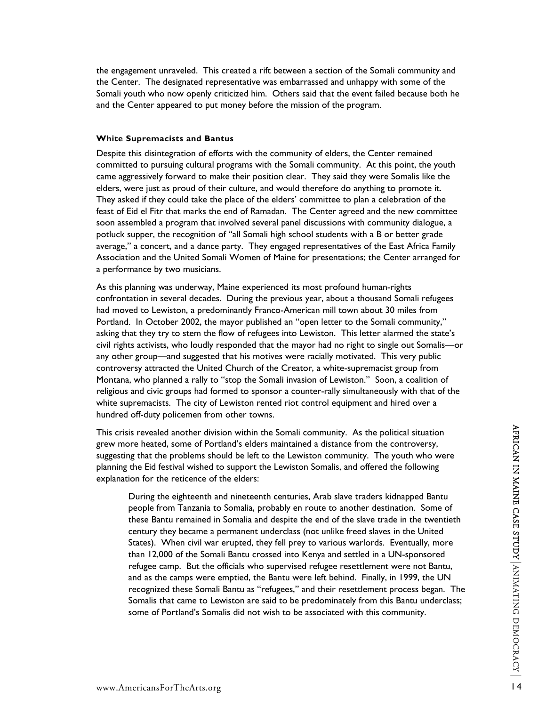the engagement unraveled. This created a rift between a section of the Somali community and the Center. The designated representative was embarrassed and unhappy with some of the Somali youth who now openly criticized him. Others said that the event failed because both he and the Center appeared to put money before the mission of the program.

#### **White Supremacists and Bantus**

Despite this disintegration of efforts with the community of elders, the Center remained committed to pursuing cultural programs with the Somali community. At this point, the youth came aggressively forward to make their position clear. They said they were Somalis like the elders, were just as proud of their culture, and would therefore do anything to promote it. They asked if they could take the place of the elders' committee to plan a celebration of the feast of Eid el Fitr that marks the end of Ramadan. The Center agreed and the new committee soon assembled a program that involved several panel discussions with community dialogue, a potluck supper, the recognition of "all Somali high school students with a B or better grade average," a concert, and a dance party. They engaged representatives of the East Africa Family Association and the United Somali Women of Maine for presentations; the Center arranged for a performance by two musicians.

As this planning was underway, Maine experienced its most profound human-rights confrontation in several decades. During the previous year, about a thousand Somali refugees had moved to Lewiston, a predominantly Franco-American mill town about 30 miles from Portland. In October 2002, the mayor published an "open letter to the Somali community," asking that they try to stem the flow of refugees into Lewiston. This letter alarmed the state's civil rights activists, who loudly responded that the mayor had no right to single out Somalis—or any other group—and suggested that his motives were racially motivated. This very public controversy attracted the United Church of the Creator, a white-supremacist group from Montana, who planned a rally to "stop the Somali invasion of Lewiston." Soon, a coalition of religious and civic groups had formed to sponsor a counter-rally simultaneously with that of the white supremacists. The city of Lewiston rented riot control equipment and hired over a hundred off-duty policemen from other towns.

This crisis revealed another division within the Somali community. As the political situation grew more heated, some of Portland's elders maintained a distance from the controversy, suggesting that the problems should be left to the Lewiston community. The youth who were planning the Eid festival wished to support the Lewiston Somalis, and offered the following explanation for the reticence of the elders:

This crisis revealed another division within the Somali community. As the political situation<br>greew more heated, some of Portland's elders maintained a distance from the controversy,<br>suggesting that the problems should be During the eighteenth and nineteenth centuries, Arab slave traders kidnapped Bantu people from Tanzania to Somalia, probably en route to another destination. Some of these Bantu remained in Somalia and despite the end of the slave trade in the twentieth century they became a permanent underclass (not unlike freed slaves in the United States). When civil war erupted, they fell prey to various warlords. Eventually, more than 12,000 of the Somali Bantu crossed into Kenya and settled in a UN-sponsored refugee camp. But the officials who supervised refugee resettlement were not Bantu, and as the camps were emptied, the Bantu were left behind. Finally, in 1999, the UN recognized these Somali Bantu as "refugees," and their resettlement process began. The Somalis that came to Lewiston are said to be predominately from this Bantu underclass; some of Portland's Somalis did not wish to be associated with this community.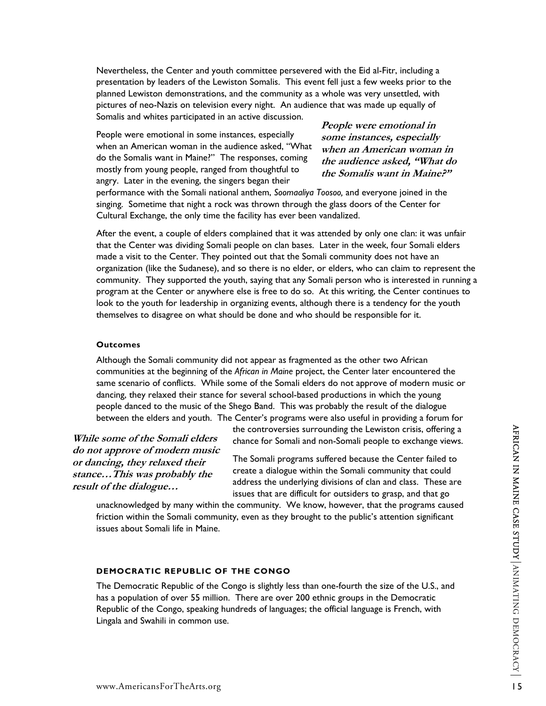Nevertheless, the Center and youth committee persevered with the Eid al-Fitr, including a presentation by leaders of the Lewiston Somalis. This event fell just a few weeks prior to the planned Lewiston demonstrations, and the community as a whole was very unsettled, with pictures of neo-Nazis on television every night. An audience that was made up equally of Somalis and whites participated in an active discussion.

People were emotional in some instances, especially when an American woman in the audience asked, "What do the Somalis want in Maine?" The responses, coming mostly from young people, ranged from thoughtful to angry. Later in the evening, the singers began their

**People were emotional in some instances, especially when an American woman in the audience asked, "What do the Somalis want in Maine?"** 

performance with the Somali national anthem, *Soomaaliya Toosoo,* and everyone joined in the singing. Sometime that night a rock was thrown through the glass doors of the Center for Cultural Exchange, the only time the facility has ever been vandalized.

After the event, a couple of elders complained that it was attended by only one clan: it was unfair that the Center was dividing Somali people on clan bases. Later in the week, four Somali elders made a visit to the Center. They pointed out that the Somali community does not have an organization (like the Sudanese), and so there is no elder, or elders, who can claim to represent the community. They supported the youth, saying that any Somali person who is interested in running a program at the Center or anywhere else is free to do so. At this writing, the Center continues to look to the youth for leadership in organizing events, although there is a tendency for the youth themselves to disagree on what should be done and who should be responsible for it.

#### **Outcomes**

Although the Somali community did not appear as fragmented as the other two African communities at the beginning of the *African in Maine* project, the Center later encountered the same scenario of conflicts. While some of the Somali elders do not approve of modern music or dancing, they relaxed their stance for several school-based productions in which the young people danced to the music of the Shego Band. This was probably the result of the dialogue between the elders and youth. The Center's programs were also useful in providing a forum for

**While some of the Somali elders do not approve of modern music or dancing, they relaxed their stance…This was probably the result of the dialogue…** 

the controversies surrounding the Lewiston crisis, offering a chance for Somali and non-Somali people to exchange views.

The Somali programs suffered because the Center failed to create a dialogue within the Somali community that could address the underlying divisions of clan and class. These are issues that are difficult for outsiders to grasp, and that go

unacknowledged by many within the community. We know, however, that the programs caused friction within the Somali community, even as they brought to the public's attention significant issues about Somali life in Maine.

#### **DEMOCRATIC REPUBLIC OF THE CONGO**

e some of the Somali elders<br>
the controversies surrounding the Lewiston crisis, offering a<br>
order approve of modern music<br>
The Somali programs suffered because the Contange views.<br>
C... This was probably the<br>
c... This was The Democratic Republic of the Congo is slightly less than one-fourth the size of the U.S., and has a population of over 55 million. There are over 200 ethnic groups in the Democratic Republic of the Congo, speaking hundreds of languages; the official language is French, with Lingala and Swahili in common use.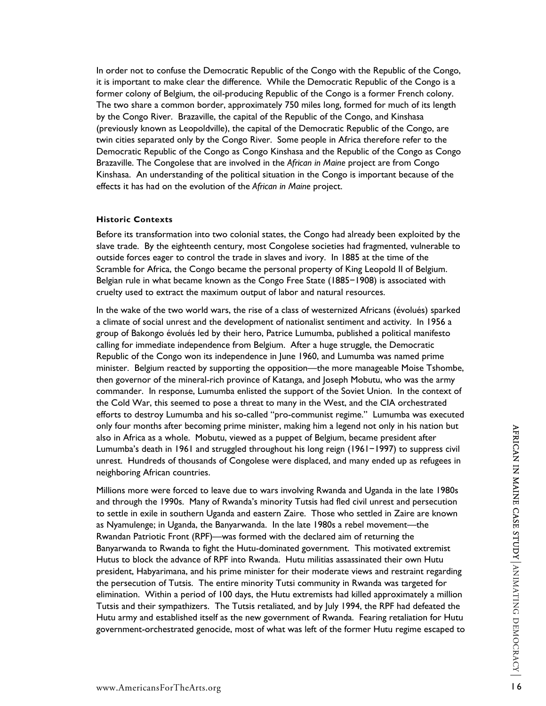In order not to confuse the Democratic Republic of the Congo with the Republic of the Congo, it is important to make clear the difference. While the Democratic Republic of the Congo is a former colony of Belgium, the oil-producing Republic of the Congo is a former French colony. The two share a common border, approximately 750 miles long, formed for much of its length by the Congo River. Brazaville, the capital of the Republic of the Congo, and Kinshasa (previously known as Leopoldville), the capital of the Democratic Republic of the Congo, are twin cities separated only by the Congo River. Some people in Africa therefore refer to the Democratic Republic of the Congo as Congo Kinshasa and the Republic of the Congo as Congo Brazaville. The Congolese that are involved in the *African in Maine* project are from Congo Kinshasa. An understanding of the political situation in the Congo is important because of the effects it has had on the evolution of the *African in Maine* project.

#### **Historic Contexts**

Before its transformation into two colonial states, the Congo had already been exploited by the slave trade. By the eighteenth century, most Congolese societies had fragmented, vulnerable to outside forces eager to control the trade in slaves and ivory. In 1885 at the time of the Scramble for Africa, the Congo became the personal property of King Leopold II of Belgium. Belgian rule in what became known as the Congo Free State (1885−1908) is associated with cruelty used to extract the maximum output of labor and natural resources.

In the wake of the two world wars, the rise of a class of westernized Africans (évolués) sparked a climate of social unrest and the development of nationalist sentiment and activity. In 1956 a group of Bakongo évolués led by their hero, Patrice Lumumba, published a political manifesto calling for immediate independence from Belgium. After a huge struggle, the Democratic Republic of the Congo won its independence in June 1960, and Lumumba was named prime minister. Belgium reacted by supporting the opposition—the more manageable Moise Tshombe, then governor of the mineral-rich province of Katanga, and Joseph Mobutu, who was the army commander. In response, Lumumba enlisted the support of the Soviet Union. In the context of the Cold War, this seemed to pose a threat to many in the West, and the CIA orchestrated efforts to destroy Lumumba and his so-called "pro-communist regime." Lumumba was executed only four months after becoming prime minister, making him a legend not only in his nation but also in Africa as a whole. Mobutu, viewed as a puppet of Belgium, became president after Lumumba's death in 1961 and struggled throughout his long reign (1961−1997) to suppress civil unrest. Hundreds of thousands of Congolese were displaced, and many ended up as refugees in neighboring African countries.

only four months atter becoming prime minister, making him a legend not only in his nation but<br>also in Africa as a whole. Mobutu, viewed as a puppet of Belgium, became president after<br>Lumumba's death in 1961 and struggled Millions more were forced to leave due to wars involving Rwanda and Uganda in the late 1980s and through the 1990s. Many of Rwanda's minority Tutsis had fled civil unrest and persecution to settle in exile in southern Uganda and eastern Zaire. Those who settled in Zaire are known as Nyamulenge; in Uganda, the Banyarwanda. In the late 1980s a rebel movement—the Rwandan Patriotic Front (RPF)—was formed with the declared aim of returning the Banyarwanda to Rwanda to fight the Hutu-dominated government. This motivated extremist Hutus to block the advance of RPF into Rwanda. Hutu militias assassinated their own Hutu president, Habyarimana, and his prime minister for their moderate views and restraint regarding the persecution of Tutsis. The entire minority Tutsi community in Rwanda was targeted for elimination. Within a period of 100 days, the Hutu extremists had killed approximately a million Tutsis and their sympathizers. The Tutsis retaliated, and by July 1994, the RPF had defeated the Hutu army and established itself as the new government of Rwanda. Fearing retaliation for Hutu government-orchestrated genocide, most of what was left of the former Hutu regime escaped to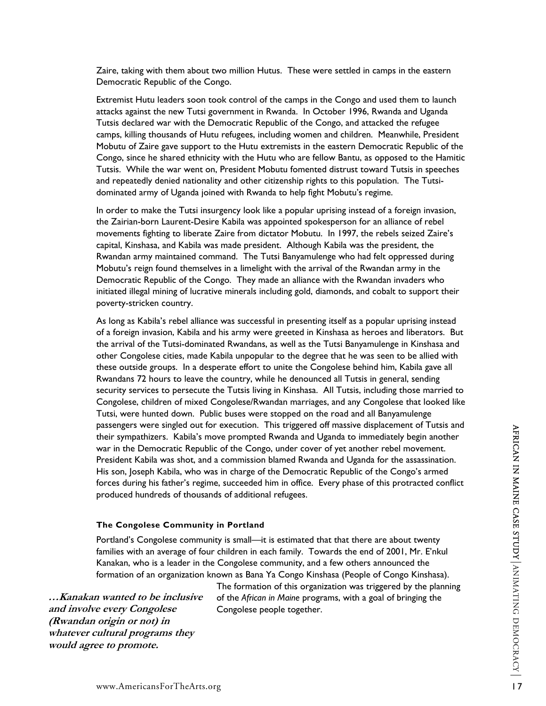Zaire, taking with them about two million Hutus. These were settled in camps in the eastern Democratic Republic of the Congo.

Extremist Hutu leaders soon took control of the camps in the Congo and used them to launch attacks against the new Tutsi government in Rwanda. In October 1996, Rwanda and Uganda Tutsis declared war with the Democratic Republic of the Congo, and attacked the refugee camps, killing thousands of Hutu refugees, including women and children. Meanwhile, President Mobutu of Zaire gave support to the Hutu extremists in the eastern Democratic Republic of the Congo, since he shared ethnicity with the Hutu who are fellow Bantu, as opposed to the Hamitic Tutsis. While the war went on, President Mobutu fomented distrust toward Tutsis in speeches and repeatedly denied nationality and other citizenship rights to this population. The Tutsidominated army of Uganda joined with Rwanda to help fight Mobutu's regime.

In order to make the Tutsi insurgency look like a popular uprising instead of a foreign invasion, the Zairian-born Laurent-Desire Kabila was appointed spokesperson for an alliance of rebel movements fighting to liberate Zaire from dictator Mobutu. In 1997, the rebels seized Zaire's capital, Kinshasa, and Kabila was made president. Although Kabila was the president, the Rwandan army maintained command. The Tutsi Banyamulenge who had felt oppressed during Mobutu's reign found themselves in a limelight with the arrival of the Rwandan army in the Democratic Republic of the Congo. They made an alliance with the Rwandan invaders who initiated illegal mining of lucrative minerals including gold, diamonds, and cobalt to support their poverty-stricken country.

We we single out to execution. Instruggled out of execution and Uganda to immediately begin another<br>war in the Democratic Republic of the Congo, under cover of yet another rebel movement.<br>
This son, Joseph Kabila, who was As long as Kabila's rebel alliance was successful in presenting itself as a popular uprising instead of a foreign invasion, Kabila and his army were greeted in Kinshasa as heroes and liberators. But the arrival of the Tutsi-dominated Rwandans, as well as the Tutsi Banyamulenge in Kinshasa and other Congolese cities, made Kabila unpopular to the degree that he was seen to be allied with these outside groups. In a desperate effort to unite the Congolese behind him, Kabila gave all Rwandans 72 hours to leave the country, while he denounced all Tutsis in general, sending security services to persecute the Tutsis living in Kinshasa. All Tutsis, including those married to Congolese, children of mixed Congolese/Rwandan marriages, and any Congolese that looked like Tutsi, were hunted down. Public buses were stopped on the road and all Banyamulenge passengers were singled out for execution. This triggered off massive displacement of Tutsis and their sympathizers. Kabila's move prompted Rwanda and Uganda to immediately begin another war in the Democratic Republic of the Congo, under cover of yet another rebel movement. President Kabila was shot, and a commission blamed Rwanda and Uganda for the assassination. His son, Joseph Kabila, who was in charge of the Democratic Republic of the Congo's armed forces during his father's regime, succeeded him in office. Every phase of this protracted conflict produced hundreds of thousands of additional refugees.

#### **The Congolese Community in Portland**

Portland's Congolese community is small—it is estimated that that there are about twenty families with an average of four children in each family. Towards the end of 2001, Mr. E'nkul Kanakan, who is a leader in the Congolese community, and a few others announced the formation of an organization known as Bana Ya Congo Kinshasa (People of Congo Kinshasa).

**…Kanakan wanted to be inclusive and involve every Congolese (Rwandan origin or not) in whatever cultural programs they would agree to promote.** 

The formation of this organization was triggered by the planning of the *African in Maine* programs, with a goal of bringing the Congolese people together.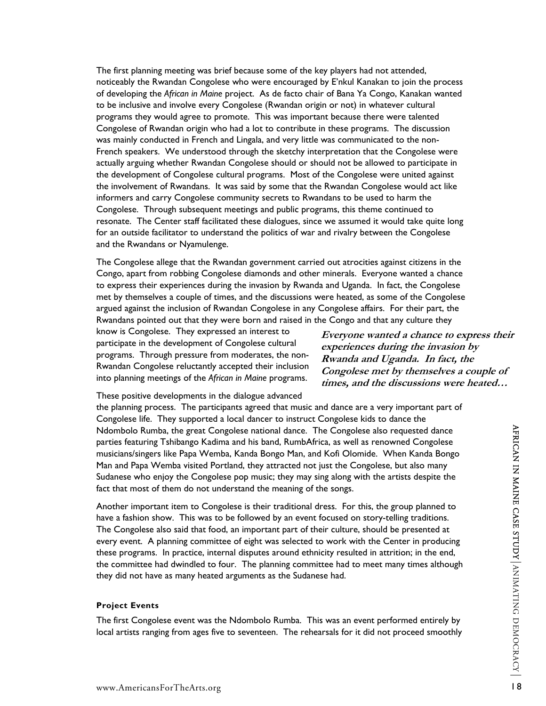The first planning meeting was brief because some of the key players had not attended, noticeably the Rwandan Congolese who were encouraged by E'nkul Kanakan to join the process of developing the *African in Maine* project. As de facto chair of Bana Ya Congo, Kanakan wanted to be inclusive and involve every Congolese (Rwandan origin or not) in whatever cultural programs they would agree to promote. This was important because there were talented Congolese of Rwandan origin who had a lot to contribute in these programs. The discussion was mainly conducted in French and Lingala, and very little was communicated to the non-French speakers. We understood through the sketchy interpretation that the Congolese were actually arguing whether Rwandan Congolese should or should not be allowed to participate in the development of Congolese cultural programs. Most of the Congolese were united against the involvement of Rwandans. It was said by some that the Rwandan Congolese would act like informers and carry Congolese community secrets to Rwandans to be used to harm the Congolese. Through subsequent meetings and public programs, this theme continued to resonate. The Center staff facilitated these dialogues, since we assumed it would take quite long for an outside facilitator to understand the politics of war and rivalry between the Congolese and the Rwandans or Nyamulenge.

The Congolese allege that the Rwandan government carried out atrocities against citizens in the Congo, apart from robbing Congolese diamonds and other minerals. Everyone wanted a chance to express their experiences during the invasion by Rwanda and Uganda. In fact, the Congolese met by themselves a couple of times, and the discussions were heated, as some of the Congolese argued against the inclusion of Rwandan Congolese in any Congolese affairs. For their part, the Rwandans pointed out that they were born and raised in the Congo and that any culture they

know is Congolese. They expressed an interest to participate in the development of Congolese cultural programs. Through pressure from moderates, the non-Rwandan Congolese reluctantly accepted their inclusion into planning meetings of the *African in Maine* programs.

**Everyone wanted a chance to express their experiences during the invasion by Rwanda and Uganda. In fact, the Congolese met by themselves a couple of times, and the discussions were heated…** 

These positive developments in the dialogue advanced

the planning process. The participants agreed that music and dance are a very important part of Congolese life. They supported a local dancer to instruct Congolese kids to dance the Ndombolo Rumba, the great Congolese national dance. The Congolese also requested dance parties featuring Tshibango Kadima and his band, RumbAfrica, as well as renowned Congolese musicians/singers like Papa Wemba, Kanda Bongo Man, and Kofi Olomide. When Kanda Bongo Man and Papa Wemba visited Portland, they attracted not just the Congolese, but also many Sudanese who enjoy the Congolese pop music; they may sing along with the artists despite the fact that most of them do not understand the meaning of the songs.

Ndombolo Rumba, the great Congolese national dance. The Congolese also requested dance<br>
parties featuring Tshihango Kadima and his band, RumbAfrica, as well as renowned Congolese<br>
musicians/singers like Papa Wemba, Kanda B Another important item to Congolese is their traditional dress. For this, the group planned to have a fashion show. This was to be followed by an event focused on story-telling traditions. The Congolese also said that food, an important part of their culture, should be presented at every event. A planning committee of eight was selected to work with the Center in producing these programs. In practice, internal disputes around ethnicity resulted in attrition; in the end, the committee had dwindled to four. The planning committee had to meet many times although they did not have as many heated arguments as the Sudanese had.

#### **Project Events**

The first Congolese event was the Ndombolo Rumba. This was an event performed entirely by local artists ranging from ages five to seventeen. The rehearsals for it did not proceed smoothly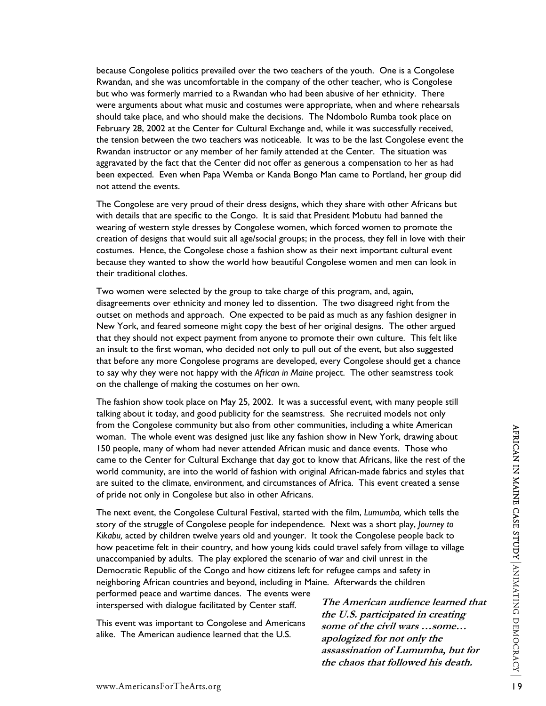because Congolese politics prevailed over the two teachers of the youth. One is a Congolese Rwandan, and she was uncomfortable in the company of the other teacher, who is Congolese but who was formerly married to a Rwandan who had been abusive of her ethnicity. There were arguments about what music and costumes were appropriate, when and where rehearsals should take place, and who should make the decisions. The Ndombolo Rumba took place on February 28, 2002 at the Center for Cultural Exchange and, while it was successfully received, the tension between the two teachers was noticeable. It was to be the last Congolese event the Rwandan instructor or any member of her family attended at the Center. The situation was aggravated by the fact that the Center did not offer as generous a compensation to her as had been expected. Even when Papa Wemba or Kanda Bongo Man came to Portland, her group did not attend the events.

The Congolese are very proud of their dress designs, which they share with other Africans but with details that are specific to the Congo. It is said that President Mobutu had banned the wearing of western style dresses by Congolese women, which forced women to promote the creation of designs that would suit all age/social groups; in the process, they fell in love with their costumes. Hence, the Congolese chose a fashion show as their next important cultural event because they wanted to show the world how beautiful Congolese women and men can look in their traditional clothes.

Two women were selected by the group to take charge of this program, and, again, disagreements over ethnicity and money led to dissention. The two disagreed right from the outset on methods and approach. One expected to be paid as much as any fashion designer in New York, and feared someone might copy the best of her original designs. The other argued that they should not expect payment from anyone to promote their own culture. This felt like an insult to the first woman, who decided not only to pull out of the event, but also suggested that before any more Congolese programs are developed, every Congolese should get a chance to say why they were not happy with the *African in Maine* project. The other seamstress took on the challenge of making the costumes on her own.

The fashion show took place on May 25, 2002. It was a successful event, with many people still talking about it today, and good publicity for the seamstress. She recruited models not only from the Congolese community but also from other communities, including a white American woman. The whole event was designed just like any fashion show in New York, drawing about 150 people, many of whom had never attended African music and dance events. Those who came to the Center for Cultural Exchange that day got to know that Africans, like the rest of the world community, are into the world of fashion with original African-made fabrics and styles that are suited to the climate, environment, and circumstances of Africa. This event created a sense of pride not only in Congolese but also in other Africans.

If the Congoles community out also from outer communities, incularing a winter Articlean and the U.S. applementation of the Case who is the center for Cultural Exchange that day go to know that African, like the rest of t The next event, the Congolese Cultural Festival, started with the film, *Lumumba,* which tells the story of the struggle of Congolese people for independence. Next was a short play, *Journey to Kikabu,* acted by children twelve years old and younger. It took the Congolese people back to how peacetime felt in their country, and how young kids could travel safely from village to village unaccompanied by adults. The play explored the scenario of war and civil unrest in the Democratic Republic of the Congo and how citizens left for refugee camps and safety in neighboring African countries and beyond, including in Maine. Afterwards the children

performed peace and wartime dances. The events were interspersed with dialogue facilitated by Center staff.

This event was important to Congolese and Americans alike. The American audience learned that the U.S.

**The American audience learned that the U.S. participated in creating some of the civil wars …some… apologized for not only the assassination of Lumumba, but for the chaos that followed his death.**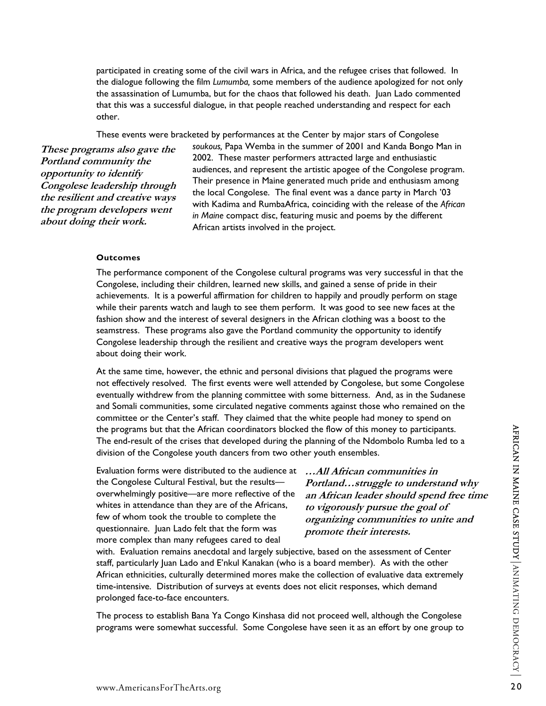participated in creating some of the civil wars in Africa, and the refugee crises that followed. In the dialogue following the film *Lumumba,* some members of the audience apologized for not only the assassination of Lumumba, but for the chaos that followed his death. Juan Lado commented that this was a successful dialogue, in that people reached understanding and respect for each other.

These events were bracketed by performances at the Center by major stars of Congolese

**These programs also gave the Portland community the opportunity to identify Congolese leadership through the resilient and creative ways the program developers went about doing their work.** 

*soukous,* Papa Wemba in the summer of 2001 and Kanda Bongo Man in 2002. These master performers attracted large and enthusiastic audiences, and represent the artistic apogee of the Congolese program. Their presence in Maine generated much pride and enthusiasm among the local Congolese. The final event was a dance party in March '03 with Kadima and RumbaAfrica, coinciding with the release of the *African in Maine* compact disc, featuring music and poems by the different African artists involved in the project.

#### **Outcomes**

The performance component of the Congolese cultural programs was very successful in that the Congolese, including their children, learned new skills, and gained a sense of pride in their achievements. It is a powerful affirmation for children to happily and proudly perform on stage while their parents watch and laugh to see them perform. It was good to see new faces at the fashion show and the interest of several designers in the African clothing was a boost to the seamstress. These programs also gave the Portland community the opportunity to identify Congolese leadership through the resilient and creative ways the program developers went about doing their work.

At the same time, however, the ethnic and personal divisions that plagued the programs were not effectively resolved. The first events were well attended by Congolese, but some Congolese eventually withdrew from the planning committee with some bitterness. And, as in the Sudanese and Somali communities, some circulated negative comments against those who remained on the committee or the Center's staff. They claimed that the white people had money to spend on the programs but that the African coordinators blocked the flow of this money to participants. The end-result of the crises that developed during the planning of the Ndombolo Rumba led to a division of the Congolese youth dancers from two other youth ensembles.

Evaluation forms were distributed to the audience at the Congolese Cultural Festival, but the results overwhelmingly positive—are more reflective of the whites in attendance than they are of the Africans, few of whom took the trouble to complete the questionnaire. Juan Lado felt that the form was more complex than many refugees cared to deal

**…All African communities in Portland…struggle to understand why an African leader should spend free time to vigorously pursue the goal of organizing communities to unite and promote their interests.** 

the programs but that the African coordinators blocked the flow of this money to participants.<br>The end-result of the crists that developed during the planining of the Ndomblob Rumba led to a<br>division of the Congolese yout with. Evaluation remains anecdotal and largely subjective, based on the assessment of Center staff, particularly Juan Lado and E'nkul Kanakan (who is a board member). As with the other African ethnicities, culturally determined mores make the collection of evaluative data extremely time-intensive. Distribution of surveys at events does not elicit responses, which demand prolonged face-to-face encounters.

The process to establish Bana Ya Congo Kinshasa did not proceed well, although the Congolese programs were somewhat successful. Some Congolese have seen it as an effort by one group to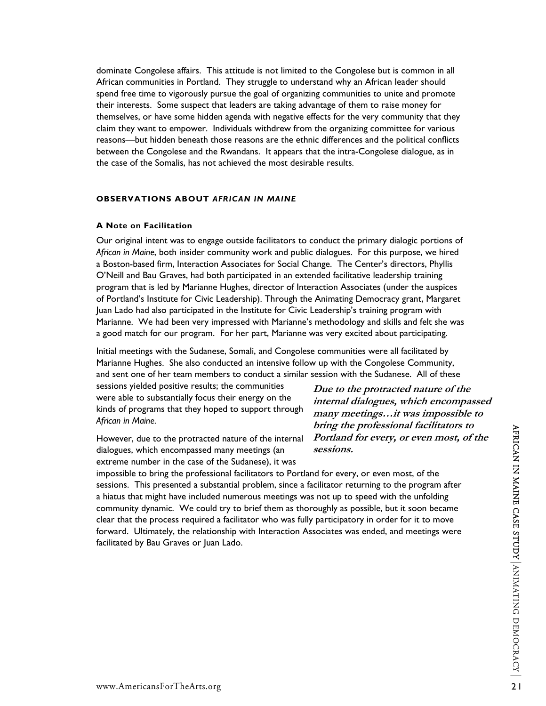dominate Congolese affairs. This attitude is not limited to the Congolese but is common in all African communities in Portland. They struggle to understand why an African leader should spend free time to vigorously pursue the goal of organizing communities to unite and promote their interests. Some suspect that leaders are taking advantage of them to raise money for themselves, or have some hidden agenda with negative effects for the very community that they claim they want to empower. Individuals withdrew from the organizing committee for various reasons—but hidden beneath those reasons are the ethnic differences and the political conflicts between the Congolese and the Rwandans. It appears that the intra-Congolese dialogue, as in the case of the Somalis, has not achieved the most desirable results.

#### **OBSERVATIONS ABOUT** *AFRICAN IN MAINE*

#### **A Note on Facilitation**

Our original intent was to engage outside facilitators to conduct the primary dialogic portions of *African in Maine*, both insider community work and public dialogues. For this purpose, we hired a Boston-based firm, Interaction Associates for Social Change. The Center's directors, Phyllis O'Neill and Bau Graves, had both participated in an extended facilitative leadership training program that is led by Marianne Hughes, director of Interaction Associates (under the auspices of Portland's Institute for Civic Leadership). Through the Animating Democracy grant, Margaret Juan Lado had also participated in the Institute for Civic Leadership's training program with Marianne. We had been very impressed with Marianne's methodology and skills and felt she was a good match for our program. For her part, Marianne was very excited about participating.

Initial meetings with the Sudanese, Somali, and Congolese communities were all facilitated by Marianne Hughes. She also conducted an intensive follow up with the Congolese Community, and sent one of her team members to conduct a similar session with the Sudanese. All of these

sessions yielded positive results; the communities were able to substantially focus their energy on the kinds of programs that they hoped to support through *African in Maine*.

However, due to the protracted nature of the internal dialogues, which encompassed many meetings (an extreme number in the case of the Sudanese), it was

**Due to the protracted nature of the internal dialogues, which encompassed many meetings…it was impossible to bring the professional facilitators to Portland for every, or even most, of the sessions.** 

However, due to the protracted nature of the internal *Proritand For every, or even most, of the*<br>dialogues, which encompassed many meetings (an *sessions.*<br>extreme number in the case of the Sudnesse), it was<br>impossible t impossible to bring the professional facilitators to Portland for every, or even most, of the sessions. This presented a substantial problem, since a facilitator returning to the program after a hiatus that might have included numerous meetings was not up to speed with the unfolding community dynamic. We could try to brief them as thoroughly as possible, but it soon became clear that the process required a facilitator who was fully participatory in order for it to move forward. Ultimately, the relationship with Interaction Associates was ended, and meetings were facilitated by Bau Graves or Juan Lado.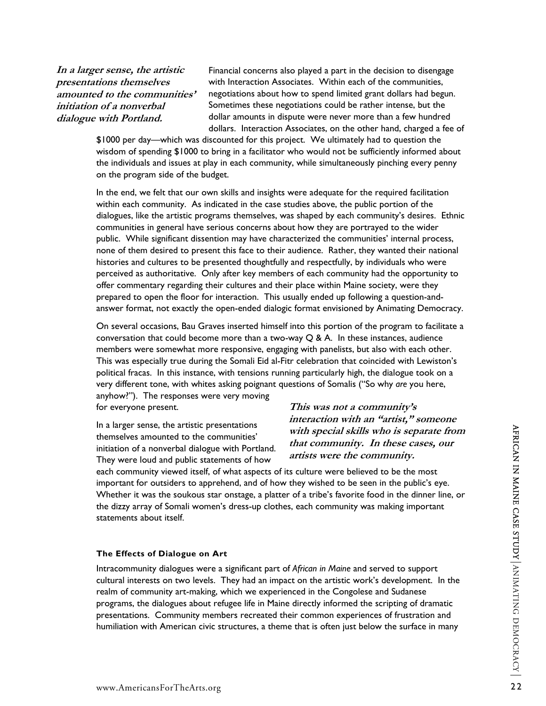**In a larger sense, the artistic presentations themselves amounted to the communities' initiation of a nonverbal dialogue with Portland.** 

Financial concerns also played a part in the decision to disengage with Interaction Associates. Within each of the communities, negotiations about how to spend limited grant dollars had begun. Sometimes these negotiations could be rather intense, but the dollar amounts in dispute were never more than a few hundred dollars. Interaction Associates, on the other hand, charged a fee of

\$1000 per day—which was discounted for this project. We ultimately had to question the wisdom of spending \$1000 to bring in a facilitator who would not be sufficiently informed about the individuals and issues at play in each community, while simultaneously pinching every penny on the program side of the budget.

In the end, we felt that our own skills and insights were adequate for the required facilitation within each community. As indicated in the case studies above, the public portion of the dialogues, like the artistic programs themselves, was shaped by each community's desires. Ethnic communities in general have serious concerns about how they are portrayed to the wider public. While significant dissention may have characterized the communities' internal process, none of them desired to present this face to their audience. Rather, they wanted their national histories and cultures to be presented thoughtfully and respectfully, by individuals who were perceived as authoritative. Only after key members of each community had the opportunity to offer commentary regarding their cultures and their place within Maine society, were they prepared to open the floor for interaction. This usually ended up following a question-andanswer format, not exactly the open-ended dialogic format envisioned by Animating Democracy.

On several occasions, Bau Graves inserted himself into this portion of the program to facilitate a conversation that could become more than a two-way  $Q$  & A. In these instances, audience members were somewhat more responsive, engaging with panelists, but also with each other. This was especially true during the Somali Eid al-Fitr celebration that coincided with Lewiston's political fracas. In this instance, with tensions running particularly high, the dialogue took on a very different tone, with whites asking poignant questions of Somalis ("So why *are* you here, anyhow?"). The responses were very moving

for everyone present.

In a larger sense, the artistic presentations themselves amounted to the communities' initiation of a nonverbal dialogue with Portland. They were loud and public statements of how

**This was not a community's interaction with an "artist," someone with special skills who is separate from that community. In these cases, our artists were the community.** 

each community viewed itself, of what aspects of its culture were believed to be the most important for outsiders to apprehend, and of how they wished to be seen in the public's eye. Whether it was the soukous star onstage, a platter of a tribe's favorite food in the dinner line, or the dizzy array of Somali women's dress-up clothes, each community was making important statements about itself.

#### **The Effects of Dialogue on Art**

In a larger sense, the artistic presentations of a non-<br>themselves amounted to the communities<sup>3</sup> with spocial skills who is separate from the<br>initiation of a nonverbal dialogue with Portland. *Lihat community.* In these Intracommunity dialogues were a significant part of *African in Maine* and served to support cultural interests on two levels. They had an impact on the artistic work's development. In the realm of community art-making, which we experienced in the Congolese and Sudanese programs, the dialogues about refugee life in Maine directly informed the scripting of dramatic presentations. Community members recreated their common experiences of frustration and humiliation with American civic structures, a theme that is often just below the surface in many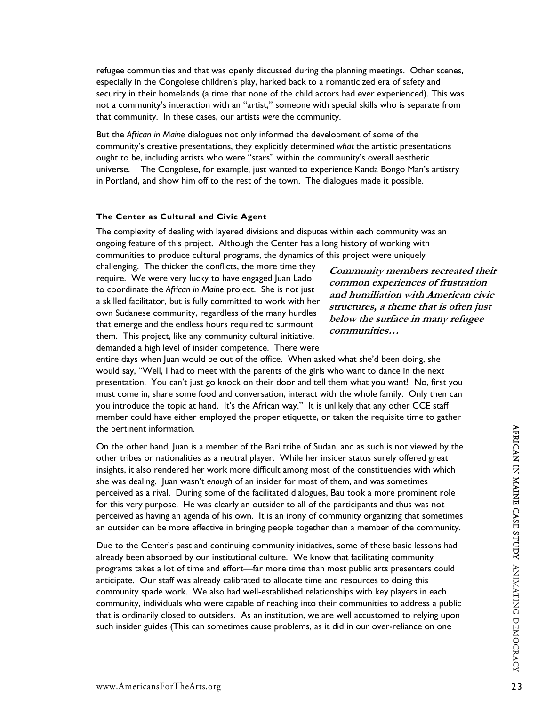refugee communities and that was openly discussed during the planning meetings. Other scenes, especially in the Congolese children's play, harked back to a romanticized era of safety and security in their homelands (a time that none of the child actors had ever experienced). This was not a community's interaction with an "artist," someone with special skills who is separate from that community. In these cases, our artists *were* the community.

But the *African in Maine* dialogues not only informed the development of some of the community's creative presentations, they explicitly determined *what* the artistic presentations ought to be, including artists who were "stars" within the community's overall aesthetic universe. The Congolese, for example, just wanted to experience Kanda Bongo Man's artistry in Portland, and show him off to the rest of the town. The dialogues made it possible.

#### **The Center as Cultural and Civic Agent**

The complexity of dealing with layered divisions and disputes within each community was an ongoing feature of this project. Although the Center has a long history of working with communities to produce cultural programs, the dynamics of this project were uniquely

challenging. The thicker the conflicts, the more time they require. We were very lucky to have engaged Juan Lado to coordinate the *African in Maine* project. She is not just a skilled facilitator, but is fully committed to work with her own Sudanese community, regardless of the many hurdles that emerge and the endless hours required to surmount them. This project, like any community cultural initiative, demanded a high level of insider competence. There were

**Community members recreated their common experiences of frustration and humiliation with American civic structures, a theme that is often just below the surface in many refugee communities…** 

entire days when Juan would be out of the office. When asked what she'd been doing, she would say, "Well, I had to meet with the parents of the girls who want to dance in the next presentation. You can't just go knock on their door and tell them what you want! No, first you must come in, share some food and conversation, interact with the whole family. Only then can you introduce the topic at hand. It's the African way." It is unlikely that any other CCE staff member could have either employed the proper etiquette, or taken the requisite time to gather the pertinent information.

the pertinent information.<br>
On the other hand, Juan is a member of the Bari tribe of Sudan, and as such is not viewed by the<br>
orther tribes or nationalities as a neutral player. While her insider status surely offered grea On the other hand, Juan is a member of the Bari tribe of Sudan, and as such is not viewed by the other tribes or nationalities as a neutral player. While her insider status surely offered great insights, it also rendered her work more difficult among most of the constituencies with which she was dealing. Juan wasn't *enough* of an insider for most of them, and was sometimes perceived as a rival. During some of the facilitated dialogues, Bau took a more prominent role for this very purpose. He was clearly an outsider to all of the participants and thus was not perceived as having an agenda of his own. It is an irony of community organizing that sometimes an outsider can be more effective in bringing people together than a member of the community.

Due to the Center's past and continuing community initiatives, some of these basic lessons had already been absorbed by our institutional culture. We know that facilitating community programs takes a lot of time and effort—far more time than most public arts presenters could anticipate. Our staff was already calibrated to allocate time and resources to doing this community spade work. We also had well-established relationships with key players in each community, individuals who were capable of reaching into their communities to address a public that is ordinarily closed to outsiders. As an institution, we are well accustomed to relying upon such insider guides (This can sometimes cause problems, as it did in our over-reliance on one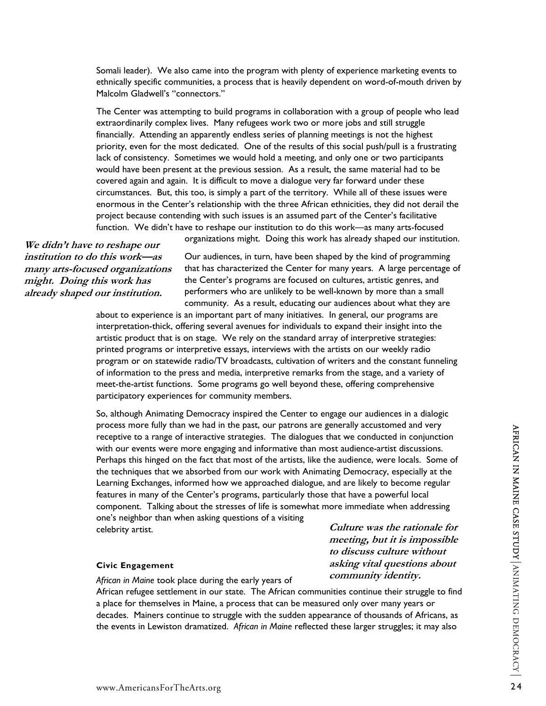Somali leader). We also came into the program with plenty of experience marketing events to ethnically specific communities, a process that is heavily dependent on word-of-mouth driven by Malcolm Gladwell's "connectors."

The Center was attempting to build programs in collaboration with a group of people who lead extraordinarily complex lives. Many refugees work two or more jobs and still struggle financially. Attending an apparently endless series of planning meetings is not the highest priority, even for the most dedicated. One of the results of this social push/pull is a frustrating lack of consistency. Sometimes we would hold a meeting, and only one or two participants would have been present at the previous session. As a result, the same material had to be covered again and again. It is difficult to move a dialogue very far forward under these circumstances. But, this too, is simply a part of the territory. While all of these issues were enormous in the Center's relationship with the three African ethnicities, they did not derail the project because contending with such issues is an assumed part of the Center's facilitative function. We didn't have to reshape our institution to do this work—as many arts-focused

**We didn't have to reshape our institution to do this work—as many arts-focused organizations might. Doing this work has already shaped our institution.** 

organizations might. Doing this work has already shaped our institution.

Our audiences, in turn, have been shaped by the kind of programming that has characterized the Center for many years. A large percentage of the Center's programs are focused on cultures, artistic genres, and performers who are unlikely to be well-known by more than a small community. As a result, educating our audiences about what they are

about to experience is an important part of many initiatives. In general, our programs are interpretation-thick, offering several avenues for individuals to expand their insight into the artistic product that is on stage. We rely on the standard array of interpretive strategies: printed programs or interpretive essays, interviews with the artists on our weekly radio program or on statewide radio/TV broadcasts, cultivation of writers and the constant funneling of information to the press and media, interpretive remarks from the stage, and a variety of meet-the-artist functions. Some programs go well beyond these, offering comprehensive participatory experiences for community members.

process more tunity than we had not the past, our patrons are generally accussome and very<br>enceptive to a range of interactive strategies. The dialogues that we conducted in conjunction<br>with our events were more engaging So, although Animating Democracy inspired the Center to engage our audiences in a dialogic process more fully than we had in the past, our patrons are generally accustomed and very receptive to a range of interactive strategies. The dialogues that we conducted in conjunction with our events were more engaging and informative than most audience-artist discussions. Perhaps this hinged on the fact that most of the artists, like the audience, were locals. Some of the techniques that we absorbed from our work with Animating Democracy, especially at the Learning Exchanges, informed how we approached dialogue, and are likely to become regular features in many of the Center's programs, particularly those that have a powerful local component. Talking about the stresses of life is somewhat more immediate when addressing one's neighbor than when asking questions of a visiting celebrity artist. **Culture was the rationale for** 

**meeting, but it is impossible to discuss culture without asking vital questions about community identity.** 

#### **Civic Engagement**

*African in Maine* took place during the early years of

African refugee settlement in our state. The African communities continue their struggle to find a place for themselves in Maine, a process that can be measured only over many years or decades. Mainers continue to struggle with the sudden appearance of thousands of Africans, as the events in Lewiston dramatized. *African in Maine* reflected these larger struggles; it may also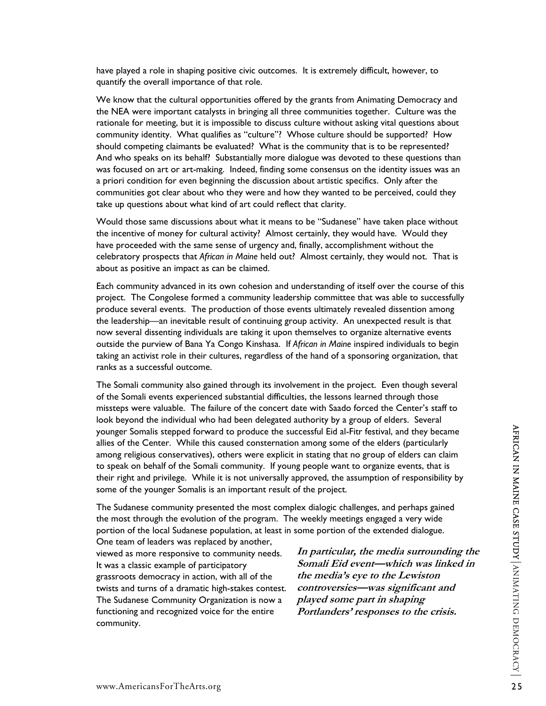have played a role in shaping positive civic outcomes. It is extremely difficult, however, to quantify the overall importance of that role.

We know that the cultural opportunities offered by the grants from Animating Democracy and the NEA were important catalysts in bringing all three communities together. Culture was the rationale for meeting, but it is impossible to discuss culture without asking vital questions about community identity. What qualifies as "culture"? Whose culture should be supported? How should competing claimants be evaluated? What is the community that is to be represented? And who speaks on its behalf? Substantially more dialogue was devoted to these questions than was focused on art or art-making. Indeed, finding some consensus on the identity issues was an a priori condition for even beginning the discussion about artistic specifics. Only after the communities got clear about who they were and how they wanted to be perceived, could they take up questions about what kind of art could reflect that clarity.

Would those same discussions about what it means to be "Sudanese" have taken place without the incentive of money for cultural activity? Almost certainly, they would have. Would they have proceeded with the same sense of urgency and, finally, accomplishment without the celebratory prospects that *African in Maine* held out? Almost certainly, they would not. That is about as positive an impact as can be claimed.

Each community advanced in its own cohesion and understanding of itself over the course of this project. The Congolese formed a community leadership committee that was able to successfully produce several events. The production of those events ultimately revealed dissention among the leadership—an inevitable result of continuing group activity. An unexpected result is that now several dissenting individuals are taking it upon themselves to organize alternative events outside the purview of Bana Ya Congo Kinshasa. If *African in Maine* inspired individuals to begin taking an activist role in their cultures, regardless of the hand of a sponsoring organization, that ranks as a successful outcome.

younger Somalis stepped forward to produce the successful Eid al-Fitr festival, and they became<br>almong religious conservatives), others were explicit in stating that no group of elders (anticularly<br>almong religious conserv The Somali community also gained through its involvement in the project. Even though several of the Somali events experienced substantial difficulties, the lessons learned through those missteps were valuable. The failure of the concert date with Saado forced the Center's staff to look beyond the individual who had been delegated authority by a group of elders. Several younger Somalis stepped forward to produce the successful Eid al-Fitr festival, and they became allies of the Center. While this caused consternation among some of the elders (particularly among religious conservatives), others were explicit in stating that no group of elders can claim to speak on behalf of the Somali community. If young people want to organize events, that is their right and privilege. While it is not universally approved, the assumption of responsibility by some of the younger Somalis is an important result of the project.

The Sudanese community presented the most complex dialogic challenges, and perhaps gained the most through the evolution of the program. The weekly meetings engaged a very wide portion of the local Sudanese population, at least in some portion of the extended dialogue.

One team of leaders was replaced by another, viewed as more responsive to community needs. It was a classic example of participatory grassroots democracy in action, with all of the twists and turns of a dramatic high-stakes contest. The Sudanese Community Organization is now a functioning and recognized voice for the entire community.

**In particular, the media surrounding the Somali Eid event—which was linked in the media's eye to the Lewiston controversies—was significant and played some part in shaping Portlanders' responses to the crisis.**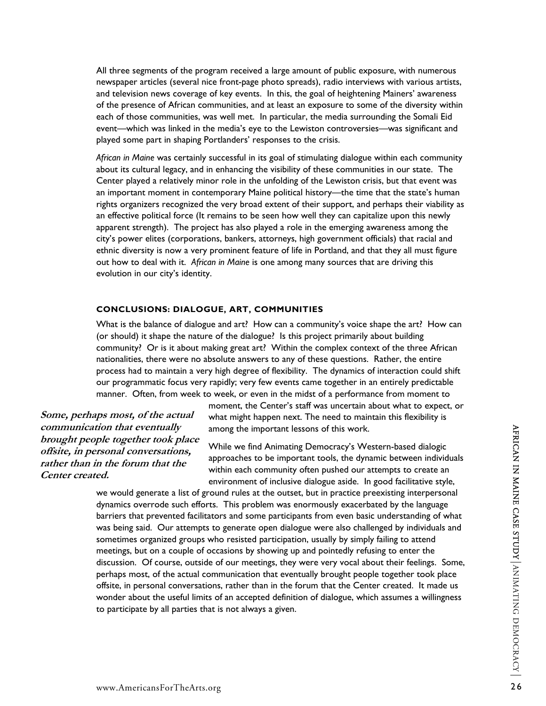All three segments of the program received a large amount of public exposure, with numerous newspaper articles (several nice front-page photo spreads), radio interviews with various artists, and television news coverage of key events. In this, the goal of heightening Mainers' awareness of the presence of African communities, and at least an exposure to some of the diversity within each of those communities, was well met. In particular, the media surrounding the Somali Eid event—which was linked in the media's eye to the Lewiston controversies—was significant and played some part in shaping Portlanders' responses to the crisis.

*African in Maine* was certainly successful in its goal of stimulating dialogue within each community about its cultural legacy, and in enhancing the visibility of these communities in our state. The Center played a relatively minor role in the unfolding of the Lewiston crisis, but that event was an important moment in contemporary Maine political history—the time that the state's human rights organizers recognized the very broad extent of their support, and perhaps their viability as an effective political force (It remains to be seen how well they can capitalize upon this newly apparent strength). The project has also played a role in the emerging awareness among the city's power elites (corporations, bankers, attorneys, high government officials) that racial and ethnic diversity is now a very prominent feature of life in Portland, and that they all must figure out how to deal with it. *African in Maine* is one among many sources that are driving this evolution in our city's identity.

#### **CONCLUSIONS: DIALOGUE, ART, COMMUNITIES**

What is the balance of dialogue and art? How can a community's voice shape the art? How can (or should) it shape the nature of the dialogue? Is this project primarily about building community? Or is it about making great art? Within the complex context of the three African nationalities, there were no absolute answers to any of these questions. Rather, the entire process had to maintain a very high degree of flexibility. The dynamics of interaction could shift our programmatic focus very rapidly; very few events came together in an entirely predictable manner. Often, from week to week, or even in the midst of a performance from moment to

**Some, perhaps most, of the actual communication that eventually brought people together took place offsite, in personal conversations, rather than in the forum that the Center created.** 

moment, the Center's staff was uncertain about what to expect, or what might happen next. The need to maintain this flexibility is among the important lessons of this work.

While we find Animating Democracy's Western-based dialogic approaches to be important tools, the dynamic between individuals within each community often pushed our attempts to create an environment of inclusive dialogue aside. In good facilitative style,

www.AmericansForTheArts.org <sup>26</sup>AFRICAN IN MAINE CASE STUDY ANIMATING DEMOCRACY we would generate a list of ground rules at the outset, but in practice preexisting interpersonal dynamics overrode such efforts. This problem was enormously exacerbated by the language barriers that prevented facilitators and some participants from even basic understanding of what was being said. Our attempts to generate open dialogue were also challenged by individuals and sometimes organized groups who resisted participation, usually by simply failing to attend meetings, but on a couple of occasions by showing up and pointedly refusing to enter the discussion. Of course, outside of our meetings, they were very vocal about their feelings. Some, perhaps most, of the actual communication that eventually brought people together took place offsite, in personal conversations, rather than in the forum that the Center created. It made us wonder about the useful limits of an accepted definition of dialogue, which assumes a willingness to participate by all parties that is not always a given.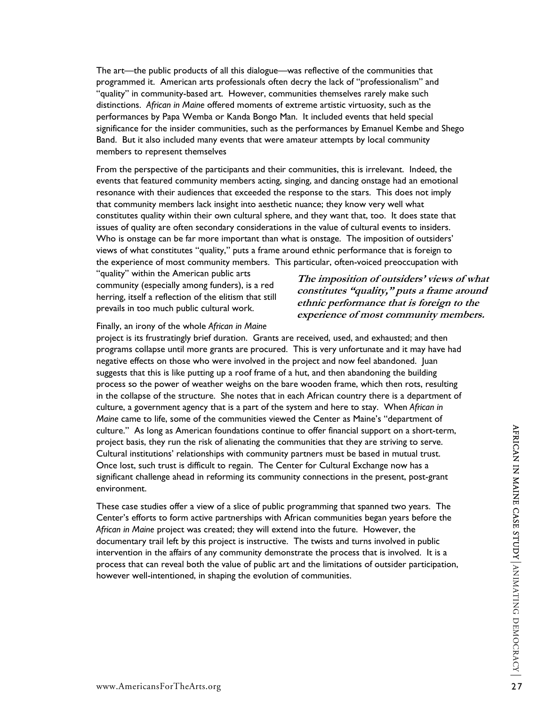The art—the public products of all this dialogue—was reflective of the communities that programmed it. American arts professionals often decry the lack of "professionalism" and "quality" in community-based art. However, communities themselves rarely make such distinctions. *African in Maine* offered moments of extreme artistic virtuosity, such as the performances by Papa Wemba or Kanda Bongo Man. It included events that held special significance for the insider communities, such as the performances by Emanuel Kembe and Shego Band. But it also included many events that were amateur attempts by local community members to represent themselves

From the perspective of the participants and their communities, this is irrelevant. Indeed, the events that featured community members acting, singing, and dancing onstage had an emotional resonance with their audiences that exceeded the response to the stars. This does not imply that community members lack insight into aesthetic nuance; they know very well what constitutes quality within their own cultural sphere, and they want that, too. It does state that issues of quality are often secondary considerations in the value of cultural events to insiders. Who is onstage can be far more important than what is onstage. The imposition of outsiders' views of what constitutes "quality," puts a frame around ethnic performance that is foreign to the experience of most community members. This particular, often-voiced preoccupation with

"quality" within the American public arts community (especially among funders), is a red herring, itself a reflection of the elitism that still prevails in too much public cultural work.

#### **The imposition of outsiders' views of what constitutes "quality," puts a frame around ethnic performance that is foreign to the experience of most community members.**

#### Finally, an irony of the whole *African in Maine*

project is its frustratingly brief duration. Grants are received, used, and exhausted; and then programs collapse until more grants are procured. This is very unfortunate and it may have had negative effects on those who were involved in the project and now feel abandoned. Juan suggests that this is like putting up a roof frame of a hut, and then abandoning the building process so the power of weather weighs on the bare wooden frame, which then rots, resulting in the collapse of the structure. She notes that in each African country there is a department of culture, a government agency that is a part of the system and here to stay. When *African in Maine* came to life, some of the communities viewed the Center as Maine's "department of culture." As long as American foundations continue to offer financial support on a short-term, project basis, they run the risk of alienating the communities that they are striving to serve. Cultural institutions' relationships with community partners must be based in mutual trust. Once lost, such trust is difficult to regain. The Center for Cultural Exchange now has a significant challenge ahead in reforming its community connections in the present, post-grant environment.

culture." As long as American foundations continue to offer financial support on a short-term,<br>
project basis, they run the risk of alienating the communities that they are striving to serve.<br>
Cultural institutions' relati These case studies offer a view of a slice of public programming that spanned two years. The Center's efforts to form active partnerships with African communities began years before the *African in Maine* project was created; they will extend into the future. However, the documentary trail left by this project is instructive. The twists and turns involved in public intervention in the affairs of any community demonstrate the process that is involved. It is a process that can reveal both the value of public art and the limitations of outsider participation, however well-intentioned, in shaping the evolution of communities.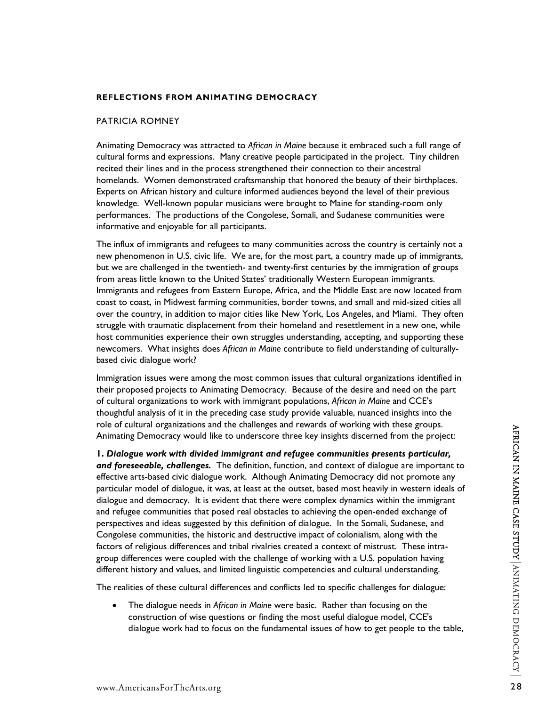#### **REFLECTIONS FROM ANIMATING DEMOCRACY**

#### PATRICIA ROMNEY

Animating Democracy was attracted to *African in Maine* because it embraced such a full range of cultural forms and expressions. Many creative people participated in the project. Tiny children recited their lines and in the process strengthened their connection to their ancestral homelands. Women demonstrated craftsmanship that honored the beauty of their birthplaces. Experts on African history and culture informed audiences beyond the level of their previous knowledge. Well-known popular musicians were brought to Maine for standing-room only performances. The productions of the Congolese, Somali, and Sudanese communities were informative and enjoyable for all participants.

The influx of immigrants and refugees to many communities across the country is certainly not a new phenomenon in U.S. civic life. We are, for the most part, a country made up of immigrants, but we are challenged in the twentieth- and twenty-first centuries by the immigration of groups from areas little known to the United States' traditionally Western European immigrants. Immigrants and refugees from Eastern Europe, Africa, and the Middle East are now located from coast to coast, in Midwest farming communities, border towns, and small and mid-sized cities all over the country, in addition to major cities like New York, Los Angeles, and Miami. They often struggle with traumatic displacement from their homeland and resettlement in a new one, while host communities experience their own struggles understanding, accepting, and supporting these newcomers. What insights does *African in Maine* contribute to field understanding of culturallybased civic dialogue work?

Immigration issues were among the most common issues that cultural organizations identified in their proposed projects to Animating Democracy. Because of the desire and need on the part of cultural organizations to work with immigrant populations, *African in Maine* and CCE's thoughtful analysis of it in the preceding case study provide valuable, nuanced insights into the role of cultural organizations and the challenges and rewards of working with these groups. Animating Democracy would like to underscore three key insights discerned from the project:

The or cutual or ugalitations and use taileneigns and rewards of working wind use properties the condensity and foreseedbe, challenges. The definition, function, and context of dialogue are important to and foreseedble, ch **1.** *Dialogue work with divided immigrant and refugee communities presents particular, and foreseeable, challenges.*The definition, function, and context of dialogue are important to effective arts-based civic dialogue work. Although Animating Democracy did not promote any particular model of dialogue, it was, at least at the outset, based most heavily in western ideals of dialogue and democracy. It is evident that there were complex dynamics within the immigrant and refugee communities that posed real obstacles to achieving the open-ended exchange of perspectives and ideas suggested by this definition of dialogue. In the Somali, Sudanese, and Congolese communities, the historic and destructive impact of colonialism, along with the factors of religious differences and tribal rivalries created a context of mistrust. These intragroup differences were coupled with the challenge of working with a U.S. population having different history and values, and limited linguistic competencies and cultural understanding.

The realities of these cultural differences and conflicts led to specific challenges for dialogue:

• The dialogue needs in *African in Maine* were basic. Rather than focusing on the construction of wise questions or finding the most useful dialogue model, CCE's dialogue work had to focus on the fundamental issues of how to get people to the table,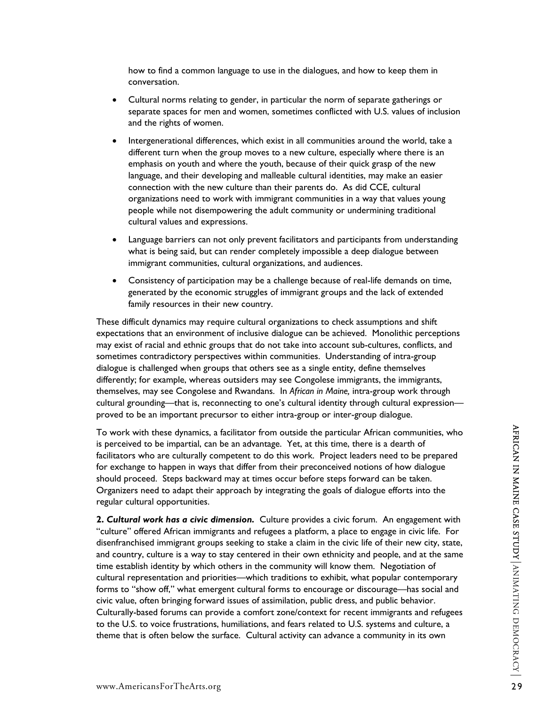how to find a common language to use in the dialogues, and how to keep them in conversation.

- Cultural norms relating to gender, in particular the norm of separate gatherings or separate spaces for men and women, sometimes conflicted with U.S. values of inclusion and the rights of women.
- Intergenerational differences, which exist in all communities around the world, take a different turn when the group moves to a new culture, especially where there is an emphasis on youth and where the youth, because of their quick grasp of the new language, and their developing and malleable cultural identities, may make an easier connection with the new culture than their parents do. As did CCE, cultural organizations need to work with immigrant communities in a way that values young people while not disempowering the adult community or undermining traditional cultural values and expressions.
- Language barriers can not only prevent facilitators and participants from understanding what is being said, but can render completely impossible a deep dialogue between immigrant communities, cultural organizations, and audiences.
- Consistency of participation may be a challenge because of real-life demands on time, generated by the economic struggles of immigrant groups and the lack of extended family resources in their new country.

These difficult dynamics may require cultural organizations to check assumptions and shift expectations that an environment of inclusive dialogue can be achieved. Monolithic perceptions may exist of racial and ethnic groups that do not take into account sub-cultures, conflicts, and sometimes contradictory perspectives within communities. Understanding of intra-group dialogue is challenged when groups that others see as a single entity, define themselves differently; for example, whereas outsiders may see Congolese immigrants, the immigrants, themselves, may see Congolese and Rwandans. In *African in Maine,* intra-group work through cultural grounding—that is, reconnecting to one's cultural identity through cultural expression proved to be an important precursor to either intra-group or inter-group dialogue.

To work with these dynamics, a facilitator from outside the particular African communities, who is perceived to be impartial, can be an advantage. Yet, at this time, there is a dearth of facilitators who are culturally competent to do this work. Project leaders need to be prepared for exchange to happen in ways that differ from their preconceived notions of how dialogue should proceed. Steps backward may at times occur before steps forward can be taken. Organizers need to adapt their approach by integrating the goals of dialogue efforts into the regular cultural opportunities.

To work with these dynamics, a facilitator from outside the particular African communities, who<br>signerevel to be impartial, can be an advantage.  $Y$  eft, at this time, there is a dearth of<br>facilitators who are culturally **2.** *Cultural work has a civic dimension.*Culture provides a civic forum. An engagement with "culture" offered African immigrants and refugees a platform, a place to engage in civic life. For disenfranchised immigrant groups seeking to stake a claim in the civic life of their new city, state, and country, culture is a way to stay centered in their own ethnicity and people, and at the same time establish identity by which others in the community will know them. Negotiation of cultural representation and priorities—which traditions to exhibit, what popular contemporary forms to "show off," what emergent cultural forms to encourage or discourage—has social and civic value, often bringing forward issues of assimilation, public dress, and public behavior. Culturally-based forums can provide a comfort zone/context for recent immigrants and refugees to the U.S. to voice frustrations, humiliations, and fears related to U.S. systems and culture, a theme that is often below the surface. Cultural activity can advance a community in its own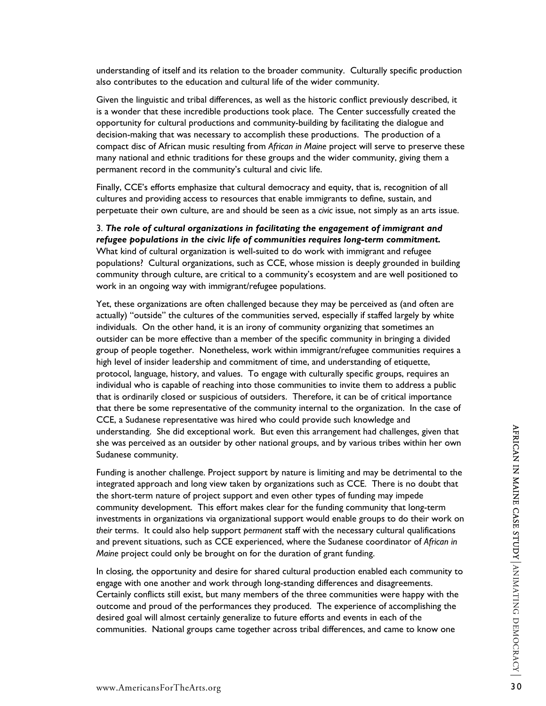understanding of itself and its relation to the broader community. Culturally specific production also contributes to the education and cultural life of the wider community.

Given the linguistic and tribal differences, as well as the historic conflict previously described, it is a wonder that these incredible productions took place. The Center successfully created the opportunity for cultural productions and community-building by facilitating the dialogue and decision-making that was necessary to accomplish these productions. The production of a compact disc of African music resulting from *African in Maine* project will serve to preserve these many national and ethnic traditions for these groups and the wider community, giving them a permanent record in the community's cultural and civic life.

Finally, CCE's efforts emphasize that cultural democracy and equity, that is, recognition of all cultures and providing access to resources that enable immigrants to define, sustain, and perpetuate their own culture, are and should be seen as a *civic* issue, not simply as an arts issue.

3. *The role of cultural organizations in facilitating the engagement of immigrant and refugee populations in the civic life of communities requires long-term commitment.*  What kind of cultural organization is well-suited to do work with immigrant and refugee populations? Cultural organizations, such as CCE, whose mission is deeply grounded in building community through culture, are critical to a community's ecosystem and are well positioned to work in an ongoing way with immigrant/refugee populations.

Yet, these organizations are often challenged because they may be perceived as (and often are actually) "outside" the cultures of the communities served, especially if staffed largely by white individuals. On the other hand, it is an irony of community organizing that sometimes an outsider can be more effective than a member of the specific community in bringing a divided group of people together. Nonetheless, work within immigrant/refugee communities requires a high level of insider leadership and commitment of time, and understanding of etiquette, protocol, language, history, and values. To engage with culturally specific groups, requires an individual who is capable of reaching into those communities to invite them to address a public that is ordinarily closed or suspicious of outsiders. Therefore, it can be of critical importance that there be some representative of the community internal to the organization. In the case of CCE, a Sudanese representative was hired who could provide such knowledge and understanding. She did exceptional work. But even this arrangement had challenges, given that she was perceived as an outsider by other national groups, and by various tribes within her own Sudanese community.

understanding. She did exceptional work. But even this arrangement had challenges, given that<br>Sudanese community.<br>Sudanese community.<br>Funding is another challenge. Project support by nature is limiting and may be detriment Funding is another challenge. Project support by nature is limiting and may be detrimental to the integrated approach and long view taken by organizations such as CCE. There is no doubt that the short-term nature of project support and even other types of funding may impede community development. This effort makes clear for the funding community that long-term investments in organizations via organizational support would enable groups to do their work on *their* terms. It could also help support *permanent* staff with the necessary cultural qualifications and prevent situations, such as CCE experienced, where the Sudanese coordinator of *African in Maine* project could only be brought on for the duration of grant funding.

In closing, the opportunity and desire for shared cultural production enabled each community to engage with one another and work through long-standing differences and disagreements. Certainly conflicts still exist, but many members of the three communities were happy with the outcome and proud of the performances they produced. The experience of accomplishing the desired goal will almost certainly generalize to future efforts and events in each of the communities. National groups came together across tribal differences, and came to know one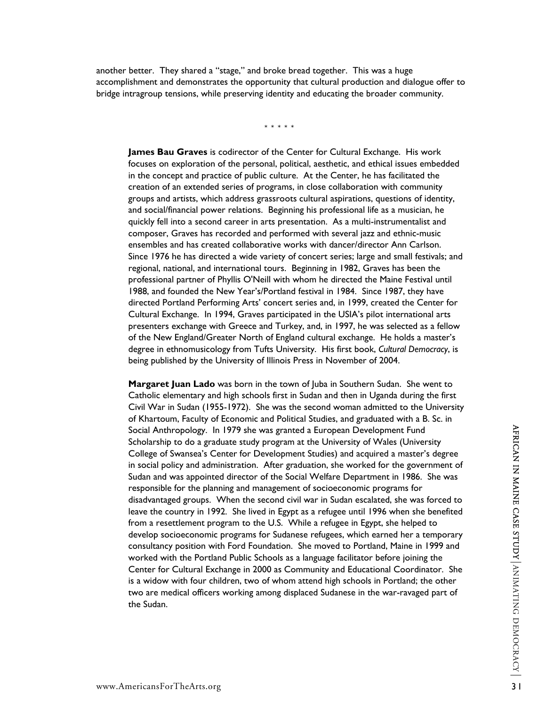another better. They shared a "stage," and broke bread together. This was a huge accomplishment and demonstrates the opportunity that cultural production and dialogue offer to bridge intragroup tensions, while preserving identity and educating the broader community.

\*\*\*\*\*

**James Bau Graves** is codirector of the Center for Cultural Exchange. His work focuses on exploration of the personal, political, aesthetic, and ethical issues embedded in the concept and practice of public culture. At the Center, he has facilitated the creation of an extended series of programs, in close collaboration with community groups and artists, which address grassroots cultural aspirations, questions of identity, and social/financial power relations. Beginning his professional life as a musician, he quickly fell into a second career in arts presentation. As a multi-instrumentalist and composer, Graves has recorded and performed with several jazz and ethnic-music ensembles and has created collaborative works with dancer/director Ann Carlson. Since 1976 he has directed a wide variety of concert series; large and small festivals; and regional, national, and international tours. Beginning in 1982, Graves has been the professional partner of Phyllis O'Neill with whom he directed the Maine Festival until 1988, and founded the New Year's/Portland festival in 1984. Since 1987, they have directed Portland Performing Arts' concert series and, in 1999, created the Center for Cultural Exchange. In 1994, Graves participated in the USIA's pilot international arts presenters exchange with Greece and Turkey, and, in 1997, he was selected as a fellow of the New England/Greater North of England cultural exchange. He holds a master's degree in ethnomusicology from Tufts University. His first book, *Cultural Democracy*, is being published by the University of Illinois Press in November of 2004.

Social Anthropology. In 1979 she was granted a European Development Fund<br>Scholarship to do a graduate study program at the University of Wales (University<br>College of Swansea's Center for Development Studies) and acquired **Margaret Juan Lado** was born in the town of Juba in Southern Sudan. She went to Catholic elementary and high schools first in Sudan and then in Uganda during the first Civil War in Sudan (1955-1972). She was the second woman admitted to the University of Khartoum, Faculty of Economic and Political Studies, and graduated with a B. Sc. in Social Anthropology. In 1979 she was granted a European Development Fund Scholarship to do a graduate study program at the University of Wales (University College of Swansea's Center for Development Studies) and acquired a master's degree in social policy and administration. After graduation, she worked for the government of Sudan and was appointed director of the Social Welfare Department in 1986. She was responsible for the planning and management of socioeconomic programs for disadvantaged groups. When the second civil war in Sudan escalated, she was forced to leave the country in 1992. She lived in Egypt as a refugee until 1996 when she benefited from a resettlement program to the U.S. While a refugee in Egypt, she helped to develop socioeconomic programs for Sudanese refugees, which earned her a temporary consultancy position with Ford Foundation. She moved to Portland, Maine in 1999 and worked with the Portland Public Schools as a language facilitator before joining the Center for Cultural Exchange in 2000 as Community and Educational Coordinator. She is a widow with four children, two of whom attend high schools in Portland; the other two are medical officers working among displaced Sudanese in the war-ravaged part of the Sudan.